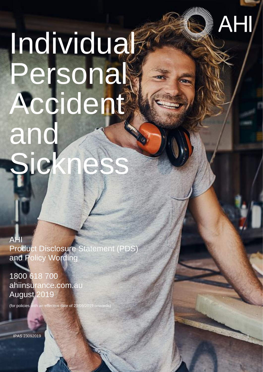

# Individual<sub>2</sub> Personal Accident and Sickness

AHI Product Disclosure Statement (PDS) and Policy Wording

1800 618 700 ahiinsurance.com.au August 2019

(for policies with an effective date of 23/09/2019 onwards)

IPAS 23092019 1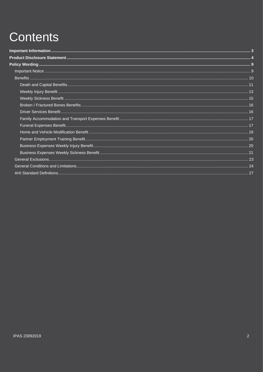# Contents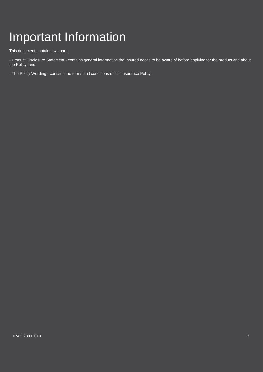# <span id="page-2-0"></span>Important Information

This document contains two parts:

- Product Disclosure Statement - contains general information the Insured needs to be aware of before applying for the product and about the Policy; and

- The Policy Wording - contains the terms and conditions of this insurance Policy.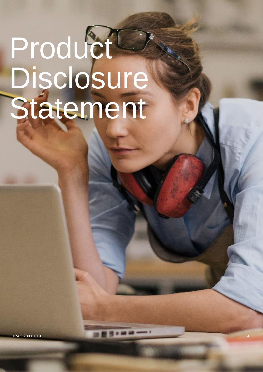# <span id="page-3-0"></span>Product Disclosure Statement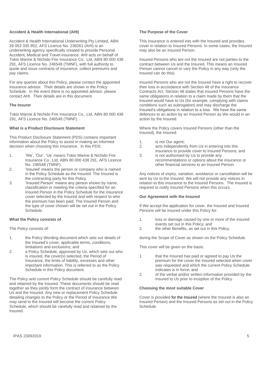#### **Accident & Health International (AHI)**

Accident & Health International Underwriting Pty Limited, ABN 26 053 335 952, AFS Licence No. 238261 (AHI) is an underwriting agency specifically created to provide Personal Accident, Medical and Travel insurance. AHI acts on behalf of Tokio Marine & Nichido Fire Insurance Co., Ltd, ABN 80 000 438 291, AFS Licence No. 246548 (TMNF), with full authority to quote and issue contracts of insurance, collect premiums and pay claims.

For any queries about this Policy, please contact the appointed insurance advisor. Their details are shown in the Policy Schedule. In the event there is no appointed advisor, please contact AHI. Their details are in this document.

#### **The Insurer**

Tokio Marine & Nichido Fire Insurance Co., Ltd, ABN 80 000 438 291, AFS Licence No. 246548 (TMNF).

#### **What is a Product Disclosure Statement**

This Product Disclosure Statement (PDS) contains important information about the Policy to assist in making an informed decision when choosing this insurance. In this PDS:

- 1. 'We', 'Our', 'Us' means Tokio Marine & Nichido Fire Insurance Co., Ltd, ABN 80 000 438 291, AFS Licence No. 246548 (TMNF).
- 2. 'Insured' means the person or company who is named in the Policy Schedule as the Insured. The Insured is the contracting party for this Policy.
- 3. 'Insured Person' means any person shown by name, classification or meeting the criteria specified for an Insured Person in the Policy Schedule for the insurance cover selected by the Insured and with respect to who the premium has been paid. The Insured Person and the type of cover chosen will be set out in the Policy Schedule.

#### **What the Policy consists of**

The Policy consists of:

- 1. the Policy Wording document which sets out details of the Insured's cover, applicable terms, conditions, limitations and exclusions; and
- 2. a Policy Schedule, approved by Us, which sets out who is insured, the cover(s) selected, the Period of Insurance, the limits of liability, excesses and other important information. This is referred to as the Policy Schedule in this Policy document.

The Policy and current Policy Schedule should be carefully read and retained by the Insured. These documents should be read together as they jointly form the contract of insurance between Us and the Insured. Any new or replacement Policy Schedule detailing changes to the Policy or the Period of Insurance We may send to the Insured will become the current Policy Schedule, which should be carefully read and retained by the Insured.

#### **The Purpose of the Cover**

This insurance is entered into with the Insured and provides cover in relation to Insured Persons. In some cases, the Insured may also be an Insured Person.

Insured Persons who are not the Insured are not parties to the contract between Us and the Insured. This means an Insured Person cannot cancel or vary the Policy in any way (only the Insured can do this).

Insured Persons who are not the Insured have a right to recover their loss in accordance with Section 48 of the Insurance Contracts Act. Section 48 states that Insured Persons have the same obligations in relation to a claim made by them that the Insured would have to Us (for example, complying with claims conditions such as subrogation) and may discharge the Insured's obligations in relation to a loss. We have the same defences to an action by an Insured Person as We would in an action by the Insured.

Where the Policy covers Insured Persons (other than the Insured), the Insured:

- 1. is not Our agent;
- 2. acts independently from Us in entering into this insurance to provide cover to Insured Persons; and
- 3. is not authorised by Us to provide any recommendations or options about the insurance or other financial services to an Insured Person.

Any notices of expiry, variation, avoidance or cancellation will be sent by Us to the Insured. We will not provide any notices in relation to this insurance to the Insured Persons. The Insured is required to notify Insured Persons when this occurs.

#### **Our Agreement with the Insured**

If We accept the application for cover, the Insured and Insured Persons will be insured under this Policy for:

- 1. loss or damage caused by one or more of the insured events set out in this Policy; and
- 2. the other Benefits, as set out in this Policy,

during the Scope of Cover as shown on the Policy Schedule.

This cover will be given on the basis:

- 1. that the Insured has paid or agreed to pay Us the premium for the cover the Insured selected when cover was requested and which the current Policy Schedule indicates is in force; and
- 2. of the verbal and/or written information provided by the Insured to Us prior to inception of the Policy.

#### **Choosing the most suitable Cover**

Cover is provided for the Insured (where the Insured is also an Insured Person) and the Insured Persons as set out in the Policy Schedule.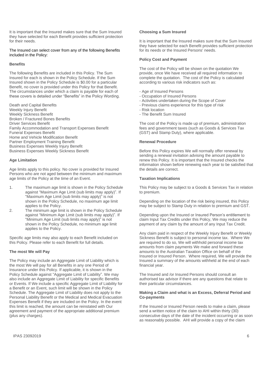It is important that the Insured makes sure that the Sum Insured they have selected for each Benefit provides sufficient protection for their needs.

The Insured can select cover from any of the following Benefits included in the Policy:

#### **Benefits**

The following Benefits are included in this Policy. The Sum Insured for each is shown in the Policy Schedule. If the Sum Insured shown in the Policy Schedule is \$0.00 for a particular Benefit, no cover is provided under this Policy for that Benefit. The circumstances under which a claim is payable for each of these covers is detailed under "Benefits" in the Policy Wording.

Death and Capital Benefits Weekly Injury Benefit Weekly Sickness Benefit Broken / Fractured Bones Benefits Driver Services Benefit Family Accommodation and Transport Expenses Benefit Funeral Expenses Benefit Home and Vehicle Modification Benefit Partner Employment Training Benefit Business Expenses Weekly Injury Benefit Business Expenses Weekly Sickness Benefit

#### **Age Limitation**

Age limits apply to this policy. No cover is provided for Insured Persons who are not aged between the minimum and maximum age limits of the Policy at the time of an Event.

- 1. The maximum age limit is shown in the Policy Schedule against "Maximum Age Limit (sub limits may apply)". If "Maximum Age Limit (sub limits may apply)" is not shown in the Policy Schedule, no maximum age limit applies to the Policy.
- 2. The minimum age limit is shown in the Policy Schedule against "Minimum Age Limit (sub limits may apply)". If "Minimum Age Limit (sub limits may apply)" is not shown in the Policy Schedule, no minimum age limit applies to the Policy.

Specific age limits may also apply to each Benefit included on this Policy. Please refer to each Benefit for full details.

#### **The most We will Pay**

The Policy may include an Aggregate Limit of Liability which is the most We will pay for all Benefits in any one Period of Insurance under this Policy. If applicable, it is shown in the Policy Schedule against "Aggregate Limit of Liability". We may also include an Aggregate Limit of Liability for specific Benefits or Events. If We include a specific Aggregate Limit of Liability for a Benefit or an Event, such limit will be shown in the Policy Schedule. The Aggregate Limit of Liability does not apply to the Personal Liability Benefit or the Medical and Medical Evacuation Expenses Benefit if they are included on the Policy. In the event this limit is reached, the amount can be reinstated with Our agreement and payment of the appropriate additional premium (plus any charges).

It is important that the Insured makes sure that the Sum Insured they have selected for each Benefit provides sufficient protection for its needs or the Insured Persons' needs.

#### **Policy Cost and Payment**

The cost of the Policy will be shown on the quotation We provide, once We have received all required information to complete the quotation. The cost of the Policy is calculated according to various risk indicators such as:

- Age of Insured Persons
- Occupation of Insured Persons
- Activities undertaken during the Scope of Cover
- Previous claims experience for this type of risk
- Risk location
- The Benefit Sum Insured

The cost of the Policy is made up of premium, administration fees and government taxes (such as Goods & Services Tax (GST) and Stamp Duty), where applicable.

#### **Renewal Procedure**

Before this Policy expires We will normally offer renewal by sending a renewal invitation advising the amount payable to renew this Policy. It is important that the Insured checks the information shown before renewing each year to be satisfied that the details are correct.

#### **Taxation Implications**

This Policy may be subject to a Goods & Services Tax in relation to premium.

Depending on the location of the risk being insured, this Policy may be subject to Stamp Duty in relation to premium and GST.

Depending upon the Insured or Insured Person's entitlement to claim Input Tax Credits under this Policy, We may reduce the payment of any claim by the amount of any Input Tax Credit.

Any claim paid in respect of the Weekly Injury Benefit or Weekly Sickness Benefit is subject to personal income tax. Where We are required to do so, We will withhold personal income tax amounts from claim payments We make and forward these amounts to the Australian Taxation Office on behalf of the Insured or Insured Person. Where required, We will provide the Insured a summary of the amounts withheld at the end of each financial year.

The Insured and /or Insured Persons should consult an authorised tax advisor if there are any questions that relate to their particular circumstances.

#### **Making a Claim and what is an Excess, Deferral Period and Co-payments**

If the Insured or Insured Person needs to make a claim, please send a written notice of the claim to AHI within thirty (30) consecutive days of the date of the incident occurring or as soon as reasonably possible. AHI will provide a copy of the claim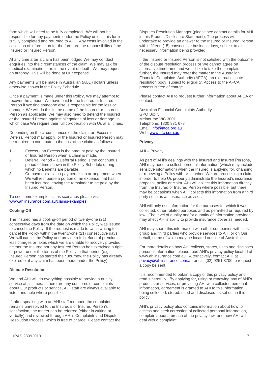form which will need to be fully completed. We will not be responsible for any payments under the Policy unless this form is fully completed and returned to AHI. Any costs involved in the collection of information for the form are the responsibility of the Insured or Insured Person.

At any time after a claim has been lodged We may conduct enquiries into the circumstances of the claim. We may ask for medical examinations or, in the event of death, We may request an autopsy. This will be done at Our expense.

Any payments will be made in Australian (AUD) dollars unless otherwise shown in the Policy Schedule.

Once a payment is made under this Policy, We may attempt to recover the amount We have paid to the Insured or Insured Person if We find someone else is responsible for the loss or damage. We will do this in the name of the Insured or Insured Person as applicable. We may also need to defend the Insured or the Insured Person against allegations of loss or damage, in which case We require their full co-operation with Us at all times.

Depending on the circumstances of the claim, an Excess or Deferral Period may apply, or the Insured or Insured Person may be required to contribute to the cost of the claim as follows:

- 1. Excess an Excess is the amount paid by the Insured or Insured Person when a claim is made.
- 2. Deferral Period a Deferral Period is the continuous period of time shown in the Policy Schedule during which no Benefits are payable.
- 3. Co-payments a co-payment is an arrangement where We will reimburse a portion of an expense that has been incurred leaving the remainder to be paid by the Insured Person.

To see some example claims scenarios please visit [www.ahiinsurance.com.au/claims-examples](http://www.ahiinsurance.com.au/claims-examples) .

#### **Cooling-Off**

The Insured has a cooling-off period of twenty-one (21) consecutive days from the date on which the Policy was issued to cancel the Policy. If the request is made to Us in writing to cancel the Policy within the twenty-one (21) consecutive days, We will cancel the Policy and provide a full refund of premium less charges or taxes which we are unable to recover, provided neither the Insured nor any Insured Person has exercised a right or power under the terms of the Policy in that period (e.g. Insured Person has started their Journey, the Policy has already expired or if any claim has been made under the Policy).

#### **Dispute Resolution**

We and AHI will do everything possible to provide a quality service at all times. If there are any concerns or complaints about Our products or service, AHI staff are always available to listen and help where possible.

If, after speaking with an AHI staff member, the complaint remains unresolved to the Insured's or Insured Person's satisfaction, the matter can be referred (either in writing or verbally) and reviewed through AHI's Complaints and Dispute Resolution Process, which is free of charge. Please contact the Disputes Resolution Manager (please see contact details for AHI in this Product Disclosure Statement). The process will undertake to provide an answer to the Insured or Insured Person within fifteen (15) consecutive business days, subject to all necessary information being provided.

If the Insured or Insured Person is not satisfied with the outcome of the dispute resolution process or We cannot agree on alternative timeframe and would like to take the complaint further, the Insured may refer the matter to the Australian Financial Complaints Authority (AFCA), an external dispute resolution body, subject to eligibility. Access to the AFCA process is free of charge.

Please contact AHI to request further information about AFCA or contact:

Australian Financial Complaints Authority GPO Box 3 Melbourne VIC 3001 Telephone: 1800 931 678 Email: [info@afca.org.au](mailto:info@afca.org.au) Web: [www.afca.org.au](http://www.afca.org.au/)

#### **Privacy**

#### AHI – Privacy

As part of AHI's dealings with the Insured and Insured Persons, AHI may need to collect personal information (which may include sensitive information) when the Insured is applying for, changing or renewing a Policy with Us or when We are processing a claim in order to help Us properly administrate the Insured's insurance proposal, policy or claim. AHI will collect this information directly from the Insured or Insured Person where possible, but there may be occasions when AHI collects this information from a third party such as an insurance advisor.

AHI will only use information for the purposes for which it was collected, other related purposes and as permitted or required by law. The level of quality and/or quantity of information provided may affect AHI's ability to provide insurance cover as needed.

AHI may share this information with other companies within its group and third parties who provide services to AHI or on Our behalf, some of which may be located outside of Australia.

For more details on how AHI collects, stores, uses and discloses personal information, please read AHI's privacy policy located at www.ahiinsurance.com.au. Alternatively, contact AHI at [privacy@ahiinsurance.com.au](mailto:privacy@ahiinsurance.com.au) or call (02) 9251 8700 to request a copy be sent.

It is recommended to obtain a copy of this privacy policy and read it carefully. By applying for, using or renewing any of AHI's products or services, or providing AHI with collected personal information, agreement is granted to AHI to this information being collected, stored, used and disclosed as set out in this policy.

AHI's privacy policy also contains information about how to access and seek correction of collected personal information, complain about a breach of the privacy law, and how AHI will deal with a complaint.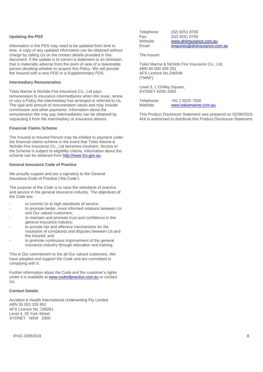#### **Updating the PDS**

Information in the PDS may need to be updated from time to time. A copy of any updated information can be obtained without charge by calling Us on the contact details provided in this document. If the update is to correct a statement or an omission, that is materially adverse from the point of view of a reasonable person deciding whether to acquire this Policy, We will provide the Insured with a new PDS or a Supplementary PDS.

#### **Intermediary Remuneration**

Tokio Marine & Nichido Fire Insurance Co., Ltd pays remuneration to insurance intermediaries when We issue, renew or vary a Policy the intermediary has arranged or referred to Us. The type and amount of remuneration varies and may include commission and other payments. Information about the remuneration We may pay intermediaries can be obtained by requesting it from the intermediary or insurance advisor.

#### **Financial Claims Scheme**

The Insured or Insured Person may be entitled to payment under the financial claims scheme in the event that Tokio Marine & Nichido Fire Insurance Co., Ltd becomes insolvent. Access to the Scheme is subject to eligibility criteria. Information about the scheme can be obtained from [http://www.fcs.gov.au.](http://www.fcs.gov.au/)

#### **General Insurance Code of Practice**

We proudly support and are a signatory to the General Insurance Code of Practice ('the Code').

The purpose of the Code is to raise the standards of practice and service in the general insurance industry. The objectives of the Code are:

- to commit Us to high standards of service;
- to promote better, more informed relations between Us and Our valued customers;
- to maintain and promote trust and confidence in the general insurance industry;
- to provide fair and effective mechanisms for the resolution of complaints and disputes between Us and the Insured; and
- to promote continuous improvement of the general insurance industry through education and training.

This is Our commitment to the all Our valued customers. We have adopted and support the Code and are committed to complying with it.

Further information about the Code and the customer's rights under it is available at [www.codeofpractice.com.au](http://www.codeofpractice.com.au/) or contact  $| \cdot |$ 

#### **Contact Details**

Accident & Health International Underwriting Pty Limited ABN 26 053 335 952 AFS Licence No. 238261 Level 4, 33 York Street SYDNEY NSW 2000

IPAS 23092019 8

Telephone: (02) 9251 8700 Fax: (02) 9251 8755<br>
Website: www.ahiinsurar [www.ahiinsurance.com.au](http://www.ahiinsurance.com.au/) Email: [enquiries@ahiinsurance.com.au](mailto:enquiries@ahiinsurance.com.au)

#### The Insurer

Tokio Marine & Nichido Fire Insurance Co., Ltd, ABN 80 000 438 291 AFS Licence No.246548 (TMNF)

Level 3, 1 Chifley Square, SYDNEY NSW 2000

Telephone: +61 2 9225 7500 Website: [www.tokiomarine.com.au](http://www.tokiomarine.com.au/)

This Product Disclosure Statement was prepared on 02/08/2019. AHI is authorised to distribute this Product Disclosure Statement.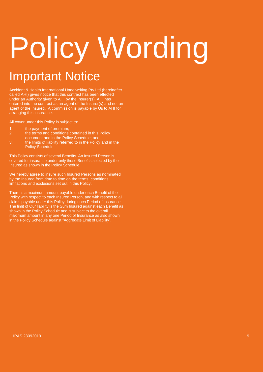# <span id="page-8-0"></span>Policy Wording

# <span id="page-8-1"></span>Important Notice

Accident & Health International Underwriting Pty Ltd (hereinafter called AHI) gives notice that this contract has been effected under an Authority given to AHI by the Insurer(s). AHI has entered into the contract as an agent of the Insurer(s) and not an agent of the Insured. A commission is payable by Us to AHI for arranging this insurance.

All cover under this Policy is subject to:

- 1. the payment of premium;<br>2. the terms and conditions
- the terms and conditions contained in this Policy document and in the Policy Schedule; and
- 3. the limits of liability referred to in the Policy and in the Policy Schedule.

This Policy consists of several Benefits. An Insured Person is covered for insurance under only those Benefits selected by the Insured as shown in the Policy Schedule.

We hereby agree to insure such Insured Persons as nominated by the Insured from time to time on the terms, conditions, limitations and exclusions set out in this Policy.

There is a maximum amount payable under each Benefit of the Policy with respect to each Insured Person, and with respect to all claims payable under this Policy during each Period of Insurance. The limit of Our liability is the Sum Insured against each Benefit as shown in the Policy Schedule and is subject to the overall maximum amount in any one Period of Insurance as also shown in the Policy Schedule against "Aggregate Limit of Liability".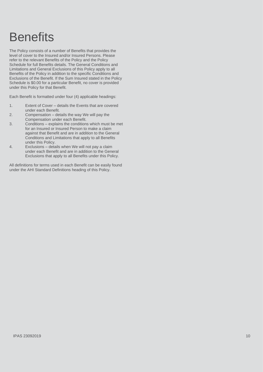# <span id="page-9-0"></span>**Benefits**

The Policy consists of a number of Benefits that provides the level of cover to the Insured and/or Insured Persons. Please refer to the relevant Benefits of the Policy and the Policy Schedule for full Benefits details. The General Conditions and Limitations and General Exclusions of this Policy apply to all Benefits of the Policy in addition to the specific Conditions and Exclusions of the Benefit. If the Sum Insured stated in the Policy Schedule is \$0.00 for a particular Benefit, no cover is provided under this Policy for that Benefit.

Each Benefit is formatted under four (4) applicable headings:

- 1. Extent of Cover details the Events that are covered under each Benefit.
- 2. Compensation details the way We will pay the Compensation under each Benefit.
- 3. Conditions explains the conditions which must be met for an Insured or Insured Person to make a claim against that Benefit and are in addition to the General Conditions and Limitations that apply to all Benefits under this Policy.
- 4. Exclusions details when We will not pay a claim under each Benefit and are in addition to the General Exclusions that apply to all Benefits under this Policy.

All definitions for terms used in each Benefit can be easily found under the AHI Standard Definitions heading of this Policy.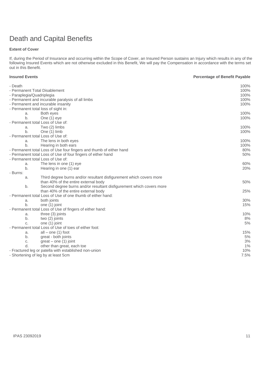## <span id="page-10-0"></span>Death and Capital Benefits

#### **Extent of Cover**

If, during the Period of Insurance and occurring within the Scope of Cover, an Insured Person sustains an Injury which results in any of the following Insured Events which are not otherwise excluded in this Benefit, We will pay the Compensation in accordance with the terms set out in this Benefit.

| <b>Insured Events</b>                                                      | <b>Percentage of Benefit Payable</b> |
|----------------------------------------------------------------------------|--------------------------------------|
| - Death                                                                    | 100%                                 |
| - Permanent Total Disablement                                              | 100%                                 |
| - Paraplegia/Quadriplegia                                                  | 100%                                 |
| - Permanent and incurable paralysis of all limbs                           | 100%                                 |
| - Permanent and incurable insanity                                         | 100%                                 |
| - Permanent total loss of sight in:                                        |                                      |
| Both eyes<br>a.                                                            | 100%                                 |
| b.<br>One (1) eye                                                          | 100%                                 |
| - Permanent total Loss of Use of:                                          |                                      |
| Two (2) limbs<br>a.                                                        | 100%                                 |
| b.<br>One (1) limb                                                         | 100%                                 |
| - Permanent total Loss of Use of:                                          |                                      |
| The lens in both eyes<br>a.                                                | 100%                                 |
| $b$ .<br>Hearing in both ears                                              | 100%                                 |
| - Permanent total Loss of Use four fingers and thumb of either hand        | 80%                                  |
| - Permanent total Loss of Use of four fingers of either hand               | 50%                                  |
| - Permanent total Loss of Use of:                                          |                                      |
| The lens in one (1) eye<br>a.                                              | 60%                                  |
| $b$ .<br>Hearing in one (1) ear                                            | 20%                                  |
| - Burns:                                                                   |                                      |
| Third degree burns and/or resultant disfigurement which covers more<br>a.  |                                      |
| than 40% of the entire external body                                       | 50%                                  |
| b.<br>Second degree burns and/or resultant disfigurement which covers more |                                      |
| than 40% of the entire external body                                       | 25%                                  |
| - Permanent total Loss of Use of one thumb of either hand:                 |                                      |
| both joints<br>a.                                                          | 30%                                  |
| $b$ .<br>one (1) joint                                                     | 15%                                  |
| - Permanent total Loss of Use of fingers of either hand:                   |                                      |
| three (3) joints<br>a.                                                     | 10%                                  |
| b.<br>two (2) joints                                                       | 8%                                   |
| one (1) joint<br>C.                                                        | 5%                                   |
| - Permanent total Loss of Use of toes of either foot:                      |                                      |
| $all - one (1) foot$<br>a.                                                 | 15%                                  |
| b.<br>great - both joints                                                  | 5%                                   |
| $great - one (1) joint$<br>C.                                              | 3%                                   |
| other than great, each toe<br>d.                                           | 1%                                   |
| - Fractured leg or patella with established non-union                      | 10%                                  |
| - Shortening of leg by at least 5cm                                        | 7.5%                                 |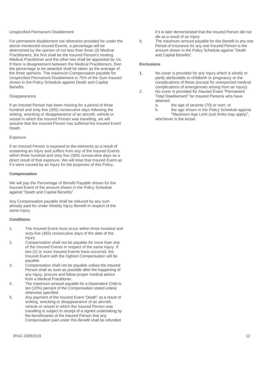#### Unspecified Permanent Disablement

For permanent disablement not otherwise provided for under the above mentioned insured Events, a percentage will be determined by the opinion of not less than three (3) Medical Practitioners, the first shall be the Insured Person's treating Medical Practitioner and the other two shall be appointed by Us. If there is disagreement between the Medical Practitioners, then the percentage to be awarded shall be taken as the average of the three opinions. The maximum Compensation payable for Unspecified Permanent Disablement is 75% of the Sum Insured shown in the Policy Schedule against Death and Capital Benefits.

#### **Disappearance**

If an Insured Person has been missing for a period of three hundred and sixty five (365) consecutive days following the sinking, wrecking or disappearance of an aircraft, vehicle or vessel in which the Insured Person was travelling, we will assume that the Insured Person has suffered the Insured Event Death.

#### Exposure

If an Insured Person is exposed to the elements as a result of sustaining an Injury and suffers from any of the Insured Events within three hundred and sixty five (365) consecutive days as a direct result of that exposure, We will treat that Insured Event as if it were caused by an Injury for the purposes of this Policy.

#### **Compensation**

We will pay the Percentage of Benefit Payable shown for the Insured Event of the amount shown in the Policy Schedule against "Death and Capital Benefits".

Any Compensation payable shall be reduced by any sum already paid for under Weekly Injury Benefit in respect of the same Injury.

#### **Conditions**

- 1. The Insured Event must occur within three hundred and sixty-five (365) consecutive days of the date of the Injury.
- 2. Compensation shall not be payable for more than one of the Insured Events in respect of the same Injury. If two (2) or more Insured Events have occurred, the Insured Event with the highest Compensation will be payable.
- 3. Compensation shall not be payable unless the Insured Person shall as soon as possible after the happening of any Injury, procure and follow proper medical advice from a Medical Practitioner.
- 4. The maximum amount payable for a Dependent Child is ten (10%) percent of the Compensation stated unless otherwise specified.
- 5. Any payment of the Insured Event "Death" as a result of sinking, wrecking or disappearance of an aircraft, vehicle or vessel in which the Insured Person was travelling is subject to receipt of a signed undertaking by the beneficiaries of the Insured Person that any Compensation paid under this Benefit shall be refunded

if it is later demonstrated that the Insured Person did not die as a result of an Injury.

6. The maximum amount payable for this Benefit in any one Period of Insurance for any one Insured Person is the amount shown in the Policy Schedule against "Death and Capital Benefits".

#### **Exclusions**

- 1. No cover is provided for any Injury which is wholly or partly attributable to childbirth or pregnancy or the complications of these (except for unexpected medical complications of emergencies arising from an Injury).
- 2. No cover is provided for Insured Event "Permanent Total Disablement" for Insured Persons who have attained:
	- a. the age of seventy (70) or over; or
	- b. the age shown in the Policy Schedule against "Maximum Age Limit (sub limits may apply)", whichever is the lesser.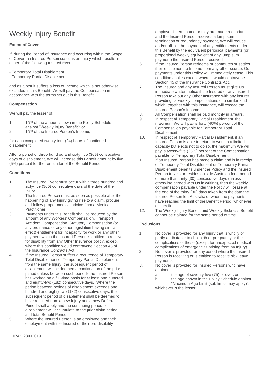## <span id="page-12-0"></span>Weekly Injury Benefit

#### **Extent of Cover**

If, during the Period of Insurance and occurring within the Scope of Cover, an Insured Person sustains an Injury which results in either of the following Insured Events:

- Temporary Total Disablement
- Temporary Partial Disablement,

and as a result suffers a loss of Income which is not otherwise excluded in this Benefit, We will pay the Compensation in accordance with the terms set out in this Benefit.

#### **Compensation**

We will pay the lesser of:

- 1.  $1/7<sup>th</sup>$  of the amount shown in the Policy Schedule against "Weekly Injury Benefit"; or
- 2.  $1/7<sup>th</sup>$  of the Insured Person's Income,

for each completed twenty-four (24) hours of continued disablement.

After a period of three hundred and sixty-five (365) consecutive days of disablement, We will increase this Benefit amount by five (5%) percent for the remainder of the Benefit Period.

#### **Conditions**

- 1. The Insured Event must occur within three hundred and sixty-five (365) consecutive days of the date of the Injury.
- 2. The Insured Person must as soon as possible after the happening of any Injury giving rise to a claim, procure and follow proper medical advice from a Medical Practitioner.
- 3. Payments under this Benefit shall be reduced by the amount of any Workers' Compensation, Transport Accident Compensation, Statutory Compensation (or any ordinance or any other legislation having similar effect) entitlement for incapacity for work or any other payment which the Insured Person is entitled to receive for disability from any Other Insurance policy, except where this condition would contravene Section 45 of the Insurance Contracts Act.
- 4. If the Insured Person suffers a recurrence of Temporary Total Disablement or Temporary Partial Disablement from the same Injury, the subsequent period of disablement will be deemed a continuation of the prior period unless between such periods the Insured Person has worked on a full-time basis for at least one hundred and eighty-two (182) consecutive days. Where the period between periods of disablement exceeds one hundred and eighty-two (182) consecutive days, the subsequent period of disablement shall be deemed to have resulted from a new Injury and a new Deferral Period shall apply and the continuing period of disablement will accumulate to the prior claim period and total Benefit Period.
- 5. Where the Insured Person is an employee and their employment with the Insured or their pre-disability

employer is terminated or they are made redundant, and the Insured Person receives a lump sum termination or redundancy payment, We will reduce and/or off-set the payment of any entitlements under this Benefit by the equivalent periodical payments (or proportional weekly equivalent of any lump sum payment) the Insured Person received.

- 6. If the Insured Person redeems or commutes or settles their entitlement to Income from any other source, Our payments under this Policy will immediately cease. This condition applies except where it would contravene Section 45 of the Insurance Contracts Act.
- 7. The Insured and any Insured Person must give Us immediate written notice if the Insured or any Insured Person take out any Other Insurance with any insurer providing for weekly compensations of a similar kind which, together with this insurance, will exceed the Insured Person's Income.
- 8. All Compensation shall be paid monthly in arrears.
- 9. In respect of Temporary Partial Disablement, the maximum We will pay is forty (40%) percent of the Compensation payable for Temporary Total Disablement.
- 10. In respect of Temporary Partial Disablement, if an Insured Person is able to return to work in a limited capacity but elects not to do so, the maximum We will pay is twenty-five (25%) percent of the Compensation payable for Temporary Total Disablement.
- 11. If an Insured Person has made a claim and is in receipt of Temporary Total Disablement or Temporary Partial Disablement benefits under the Policy and the Insured Person travels or resides outside Australia for a period of more than thirty (30) consecutive days (unless otherwise agreed with Us in writing), then the weekly compensation payable under the Policy will cease at the end of the thirty (30) days taken from the date the Insured Person left Australia or when the payments have reached the limit of the Benefit Period, whichever occurs first.
- 12. The Weekly Injury Benefit and Weekly Sickness Benefit cannot be claimed for the same period of time.

#### **Exclusions**

- 1. No cover is provided for any Injury that is wholly or partly attributable to childbirth or pregnancy or the complications of these (except for unexpected medical complications of emergencies arising from an Injury).
- 2. No cover is provided for any period where the Insured Person is receiving or is entitled to receive sick leave payments.
- 3. No cover is provided for Insured Persons who have attained:
	- a. the age of seventy-five (75) or over; or
	- b. the age shown in the Policy Schedule against "Maximum Age Limit (sub limits may apply)", whichever is the lesser.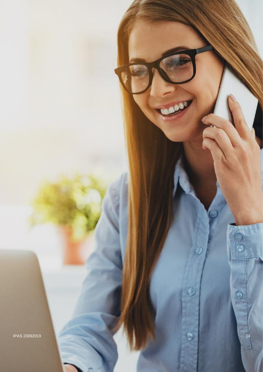IPAS 23092019

n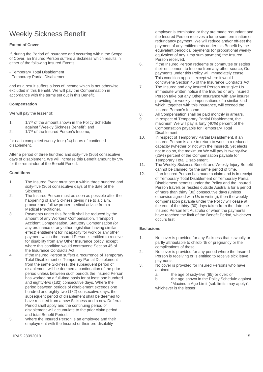## <span id="page-14-0"></span>Weekly Sickness Benefit

#### **Extent of Cover**

If, during the Period of Insurance and occurring within the Scope of Cover, an Insured Person suffers a Sickness which results in either of the following Insured Events:

- Temporary Total Disablement
- Temporary Partial Disablement,

and as a result suffers a loss of Income which is not otherwise excluded in this Benefit, We will pay the Compensation in accordance with the terms set out in this Benefit.

#### **Compensation**

We will pay the lesser of:

- 1.  $1/7<sup>th</sup>$  of the amount shown in the Policy Schedule against "Weekly Sickness Benefit"; and
- 2.  $1/7<sup>th</sup>$  of the Insured Person's Income,

for each completed twenty-four (24) hours of continued disablement.

After a period of three hundred and sixty-five (365) consecutive days of disablement, We will increase this Benefit amount by 5% for the remainder of the Benefit Period.

#### **Conditions**

- 1. The Insured Event must occur within three hundred and sixty-five (365) consecutive days of the date of the Sickness.
- 2. The Insured Person must as soon as possible after the happening of any Sickness giving rise to a claim, procure and follow proper medical advice from a Medical Practitioner.
- 3. Payments under this Benefit shall be reduced by the amount of any Workers' Compensation, Transport Accident Compensation, Statutory Compensation (or any ordinance or any other legislation having similar effect) entitlement for incapacity for work or any other payment which the Insured Person is entitled to receive for disability from any Other Insurance policy, except where this condition would contravene Section 45 of the Insurance Contracts Act.
- 4. If the Insured Person suffers a recurrence of Temporary Total Disablement or Temporary Partial Disablement from the same Sickness, the subsequent period of disablement will be deemed a continuation of the prior period unless between such periods the Insured Person has worked on a full-time basis for at least one hundred and eighty-two (182) consecutive days. Where the period between periods of disablement exceeds one hundred and eighty-two (182) consecutive days, the subsequent period of disablement shall be deemed to have resulted from a new Sickness and a new Deferral Period shall apply and the continuing period of disablement will accumulate to the prior claim period and total Benefit Period.
- 5. Where the Insured Person is an employee and their employment with the Insured or their pre-disability

employer is terminated or they are made redundant and the Insured Person receives a lump sum termination or redundancy payment, We will reduce and/or off-set the payment of any entitlements under this Benefit by the equivalent periodical payments (or proportional weekly equivalent of any lump sum payment) the Insured Person received.

- 6. If the Insured Person redeems or commutes or settles their entitlement to Income from any other source, Our payments under this Policy will immediately cease. This condition applies except where it would contravene Section 45 of the Insurance Contracts Act.
- 7. The Insured and any Insured Person must give Us immediate written notice if the Insured or any Insured Person take out any Other Insurance with any insurer providing for weekly compensations of a similar kind which, together with this insurance, will exceed the Insured Person's Income.
- 8. All Compensation shall be paid monthly in arrears.
- 9. In respect of Temporary Partial Disablement, the maximum We will pay is forty (40%) percent of the Compensation payable for Temporary Total Disablement.
- 10. In respect of Temporary Partial Disablement, if an Insured Person is able to return to work in a reduced capacity (whether or not with the Insured), yet elects not to do so, the maximum We will pay is twenty-five (25%) percent of the Compensation payable for Temporary Total Disablement.
- 11. The Weekly Sickness Benefit and Weekly Injury Benefit cannot be claimed for the same period of time.
- 12. If an Insured Person has made a claim and is in receipt of Temporary Total Disablement or Temporary Partial Disablement benefits under the Policy and the Insured Person travels or resides outside Australia for a period of more than thirty (30) consecutive days (unless otherwise agreed with Us in writing), then the weekly compensation payable under the Policy will cease at the end of the thirty (30) days taken from the date the Insured Person left Australia or when the payments have reached the limit of the Benefit Period, whichever occurs first.

#### **Exclusions**

- 1. No cover is provided for any Sickness that is wholly or partly attributable to childbirth or pregnancy or the complications of these.
- 2. No cover is provided for any period where the Insured Person is receiving or is entitled to receive sick leave payments.
- 3. No cover is provided for Insured Persons who have attained:
	- a. the age of sixty-five (65) or over; or
	- b. the age shown in the Policy Schedule against "Maximum Age Limit (sub limits may apply)", whichever is the lesser.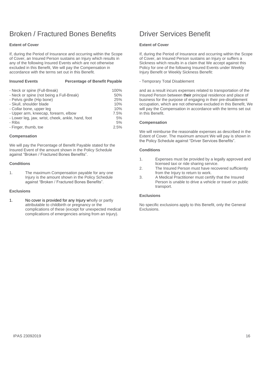## <span id="page-15-0"></span>Broken / Fractured Bones Benefits

#### **Extent of Cover**

If, during the Period of Insurance and occurring within the Scope of Cover, an Insured Person sustains an Injury which results in any of the following Insured Events which are not otherwise excluded in this Benefit, We will pay the Compensation in accordance with the terms set out in this Benefit.

#### **Insured Events Percentage of Benefit Payable**

| - Neck or spine (Full-Break)                      | 100% |
|---------------------------------------------------|------|
| - Neck or spine (not being a Full-Break)          | 50%  |
| - Pelvis girdle (Hip bone)                        | 25%  |
| - Skull, shoulder blade                           | 10%  |
| - Collar bone, upper leg                          | 10%  |
| - Upper arm, kneecap, forearm, elbow              | 7.5% |
| - Lower leg, jaw, wrist, cheek, ankle, hand, foot | 5%   |
| - Ribs                                            | 5%   |
| - Finger, thumb, toe                              | 2.5% |

#### **Compensation**

We will pay the Percentage of Benefit Payable stated for the Insured Event of the amount shown in the Policy Schedule against "Broken / Fractured Bones Benefits".

#### **Conditions**

1. The maximum Compensation payable for any one Injury is the amount shown in the Policy Schedule against "Broken / Fractured Bones Benefits".

#### **Exclusions**

1. No cover is provided for any Injury wholly or partly attributable to childbirth or pregnancy or the complications of these (except for unexpected medical complications of emergencies arising from an Injury).

### <span id="page-15-1"></span>Driver Services Benefit

#### **Extent of Cover**

If, during the Period of Insurance and occurring within the Scope of Cover, an Insured Person sustains an Injury or suffers a Sickness which results in a claim that We accept against this Policy for one of the following Insured Events under Weekly Injury Benefit or Weekly Sickness Benefit:

- Temporary Total Disablement

and as a result incurs expenses related to transportation of the Insured Person between their principal residence and place of business for the purpose of engaging in their pre-disablement occupation, which are not otherwise excluded in this Benefit, We will pay the Compensation in accordance with the terms set out in this Benefit.

#### **Compensation**

We will reimburse the reasonable expenses as described in the Extent of Cover. The maximum amount We will pay is shown in the Policy Schedule against "Driver Services Benefits".

#### **Conditions**

- 1. Expenses must be provided by a legally approved and licensed taxi or ride sharing service.
- 2. The Insured Person must have recovered sufficiently from the Injury to return to work.
- 3. A Medical Practitioner must certify that the Insured Person is unable to drive a vehicle or travel on public transport.

#### **Exclusions**

No specific exclusions apply to this Benefit, only the General **Exclusions**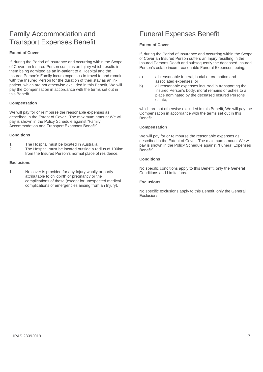## <span id="page-16-0"></span>Family Accommodation and Transport Expenses Benefit

#### **Extent of Cover**

If, during the Period of Insurance and occurring within the Scope of Cover, an Insured Person sustains an Injury which results in them being admitted as an in-patient to a Hospital and the Insured Person's Family incurs expenses to travel to and remain with the Insured Person for the duration of their stay as an inpatient, which are not otherwise excluded in this Benefit, We will pay the Compensation in accordance with the terms set out in this Benefit.

#### **Compensation**

We will pay for or reimburse the reasonable expenses as described in the Extent of Cover. The maximum amount We will pay is shown in the Policy Schedule against "Family Accommodation and Transport Expenses Benefit".

#### **Conditions**

- 1. The Hospital must be located in Australia.
- 2. The Hospital must be located outside a radius of 100km from the Insured Person's normal place of residence.

#### **Exclusions**

1. No cover is provided for any Injury wholly or partly attributable to childbirth or pregnancy or the complications of these (except for unexpected medical complications of emergencies arising from an Injury).

## <span id="page-16-1"></span>Funeral Expenses Benefit

#### **Extent of Cover**

If, during the Period of Insurance and occurring within the Scope of Cover an Insured Person suffers an Injury resulting in the Insured Persons Death and subsequently the deceased Insured Person's estate incurs reasonable Funeral Expenses, being;

- a) all reasonable funeral, burial or cremation and associated expenses; or
- b) all reasonable expenses incurred in transporting the Insured Person's body, moral remains or ashes to a place nominated by the deceased Insured Persons estate;

which are not otherwise excluded in this Benefit, We will pay the Compensation in accordance with the terms set out in this Benefit.

#### **Compensation**

We will pay for or reimburse the reasonable expenses as described in the Extent of Cover. The maximum amount We will pay is shown in the Policy Schedule against "Funeral Expenses Benefit".

#### **Conditions**

No specific conditions apply to this Benefit, only the General Conditions and Limitations.

#### **Exclusions**

No specific exclusions apply to this Benefit, only the General **Exclusions**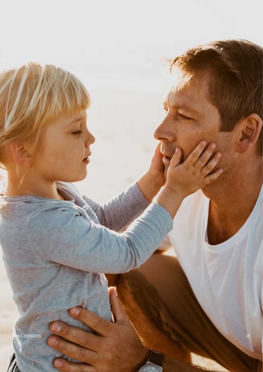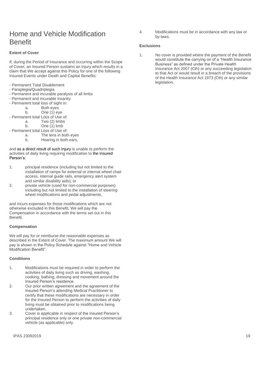## <span id="page-18-0"></span>Home and Vehicle Modification Benefit

#### **Extent of Cover**

If, during the Period of Insurance and occurring within the Scope of Cover, an Insured Person sustains an Injury which results in a claim that We accept against this Policy for one of the following Insured Events under Death and Capital Benefits:

- Permanent Total Disablement
- Paraplegia/Quadriplegia
- Permanent and incurable paralysis of all limbs
- Permanent and incurable insanity
- Permanent total loss of sight in:
	- a. Both eyes
	- b. One (1) eye
- Permanent total Loss of Use of:
	- a. Two (2) limbs
		- b. One  $(1)$  limb
- Permanent total Loss of Use of:
	- a. The lens in both eyes
		- b. Hearing in both ears,

and as a direct result of such Injury is unable to perform the activities of daily living requiring modification to the Insured Person's:

- 1. principal residence (including but not limited to the installation of ramps for external or internal wheel chair access, internal guide rails, emergency alert system and similar disability aids); or
- 2. private vehicle (used for non-commercial purposes) including but not limited to the installation of steering wheel modifications and pedal adjustments,

and incurs expenses for those modifications which are not otherwise excluded in this Benefit, We will pay the Compensation in accordance with the terms set out in this Benefit.

#### **Compensation**

We will pay for or reimburse the reasonable expenses as described in the Extent of Cover. The maximum amount We will pay is shown in the Policy Schedule against "Home and Vehicle Modification Benefit".

#### **Conditions**

- 1. Modifications must be required in order to perform the activities of daily living such as driving, washing, cooking, bathing, dressing and movement around the Insured Person's residence.
- 2. Our prior written agreement and the agreement of the Insured Person's attending Medical Practitioner to certify that these modifications are necessary in order for the Insured Person to perform the activities of daily living must be obtained prior to modifications being undertaken.
- 3. Cover is applicable in respect of the Insured Person's principal residence only or one private non-commercial vehicle (as applicable) only.
	- $IPAS$  23092019  $19$

4. Modifications must be in accordance with any law or by-laws.

#### **Exclusions**

1. No cover is provided where the payment of the Benefit would constitute the carrying on of a "Health Insurance Business" as defined under the Private Health Insurance Act 2007 (Cth) or any succeeding legislation to that Act or would result in a breach of the provisions of the Health Insurance Act 1973 (Cth) or any similar legislation.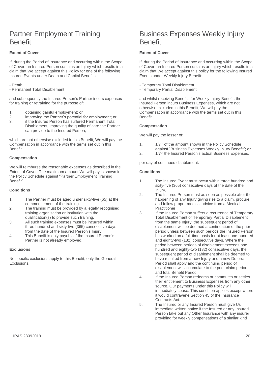## <span id="page-19-0"></span>Partner Employment Training Benefit

#### **Extent of Cover**

If, during the Period of Insurance and occurring within the Scope of Cover, an Insured Person sustains an Injury which results in a claim that We accept against this Policy for one of the following Insured Events under Death and Capital Benefits:

#### - Death

- Permanent Total Disablement,

and subsequently the Insured Person's Partner incurs expenses for training or retraining for the purpose of:

- 1. obtaining gainful employment; or
- 2. improving the Partner's potential for employment; or
- 3. if the Insured Person has suffered Permanent Total Disablement, improving the quality of care the Partner can provide to the Insured Person,

which are not otherwise excluded in this Benefit, We will pay the Compensation in accordance with the terms set out in this Benefit.

#### **Compensation**

We will reimburse the reasonable expenses as described in the Extent of Cover. The maximum amount We will pay is shown in the Policy Schedule against "Partner Employment Training Benefit".

#### **Conditions**

- 1. The Partner must be aged under sixty-five (65) at the commencement of the training.
- 2. The training must be provided by a legally recognised training organisation or institution with the qualification(s) to provide such training.
- 3. All such training expenses must be incurred within three hundred and sixty-five (365) consecutive days from the date of the Insured Person's Injury.
- 4. This Benefit is only payable if the Insured Person's Partner is not already employed.

#### **Exclusions**

No specific exclusions apply to this Benefit, only the General Exclusions.

### <span id="page-19-1"></span>Business Expenses Weekly Injury **Benefit**

#### **Extent of Cover**

If, during the Period of Insurance and occurring within the Scope of Cover, an Insured Person sustains an Injury which results in a claim that We accept against this policy for the following Insured Events under Weekly Injury Benefit:

- Temporary Total Disablement
- Temporary Partial Disablement,

and whilst receiving Benefits for Weekly Injury Benefit, the Insured Person incurs Business Expenses, which are not otherwise excluded in this Benefit, We will pay the Compensation in accordance with the terms set out in this Benefit.

#### **Compensation**

We will pay the lesser of:

- 1.  $1/7<sup>th</sup>$  of the amount shown in the Policy Schedule against "Business Expenses Weekly Injury Benefit"; or
- 2.  $1/7<sup>th</sup>$  the Insured Person's actual Business Expenses,

per day of continued disablement.

#### **Conditions**

- 1. The Insured Event must occur within three hundred and sixty-five (365) consecutive days of the date of the Injury.
- 2. The Insured Person must as soon as possible after the happening of any Injury giving rise to a claim, procure and follow proper medical advice from a Medical **Practitioner**
- 3. If the Insured Person suffers a recurrence of Temporary Total Disablement or Temporary Partial Disablement from the same Injury, the subsequent period of disablement will be deemed a continuation of the prior period unless between such periods the Insured Person has worked on a full-time basis for at least one-hundred and eighty-two (182) consecutive days. Where the period between periods of disablement exceeds one hundred and eighty-two (182) consecutive days, the subsequent period of disablement shall be deemed to have resulted from a new Injury and a new Deferral Period shall apply and the continuing period of disablement will accumulate to the prior claim period and total Benefit Period.
- 4. If the Insured Person redeems or commutes or settles their entitlement to Business Expenses from any other source, Our payments under this Policy will immediately cease. This condition applies except where it would contravene Section 45 of the Insurance Contracts Act.
- 5. The Insured or any Insured Person must give Us immediate written notice if the Insured or any Insured Person take out any Other Insurance with any insurer providing for weekly compensations of a similar kind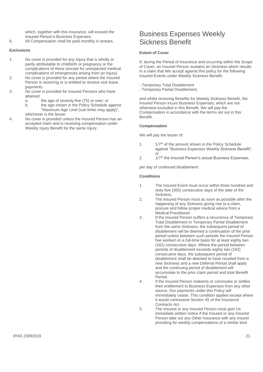which, together with this insurance, will exceed the Insured Person's Business Expenses.

6. All Compensation shall be paid monthly in arrears.

#### **Exclusions**

- 1. No cover is provided for any Injury that is wholly or partly attributable to childbirth or pregnancy or the complications of these (except for unexpected medical complications of emergencies arising from an Injury).
- 2. No cover is provided for any period where the Insured Person is receiving or is entitled to receive sick leave payments
- 3. No cover is provided for Insured Persons who have attained:
	- a. the age of seventy-five (75) or over; or
	- b. the age shown in the Policy Schedule against "Maximum Age Limit (sub limits may apply)", whichever is the lesser.
- 4. No cover is provided unless the Insured Person has an accepted claim and is receiving compensation under Weekly Injury Benefit for the same Injury.

### <span id="page-20-0"></span>Business Expenses Weekly Sickness Benefit

#### **Extent of Cover**

If, during the Period of Insurance and occurring within the Scope of Cover, an Insured Person sustains an Sickness which results in a claim that We accept against this policy for the following Insured Events under Weekly Sickness Benefit:

- Temporary Total Disablement
- Temporary Partial Disablement,

and whilst receiving Benefits for Weekly Sickness Benefit, the Insured Person incurs Business Expenses, which are not otherwise excluded in this Benefit, We will pay the Compensation in accordance with the terms set out in this Benefit.

#### **Compensation**

We will pay the lesser of:

- 1.  $1/7<sup>th</sup>$  of the amount shown in the Policy Schedule against "Business Expenses Weekly Sickness Benefit"; or
- 2.  $1/7<sup>th</sup>$  the Insured Person's actual Business Expenses,

per day of continued disablement.

#### **Conditions**

- 1. The Insured Event must occur within three hundred and sixty-five (365) consecutive days of the date of the Sickness.
- 2. The Insured Person must as soon as possible after the happening of any Sickness giving rise to a claim, procure and follow proper medical advice from a Medical Practitioner.
- 3. If the Insured Person suffers a recurrence of Temporary Total Disablement or Temporary Partial Disablement from the same Sickness, the subsequent period of disablement will be deemed a continuation of the prior period unless between such periods the Insured Person has worked on a full-time basis for at least eighty two (182) consecutive days. Where the period between periods of disablement exceeds eighty two (182) consecutive days, the subsequent period of disablement shall be deemed to have resulted from a new Sickness and a new Deferral Period shall apply and the continuing period of disablement will accumulate to the prior claim period and total Benefit Period.
- 4. If the Insured Person redeems or commutes or settles their entitlement to Business Expenses from any other source, Our payments under this Policy will immediately cease. This condition applies except where it would contravene Section 45 of the Insurance Contracts Act.
- 5. The Insured or any Insured Person must give Us immediate written notice if the Insured or any Insured Person take out any Other Insurance with any insurer providing for weekly compensations of a similar kind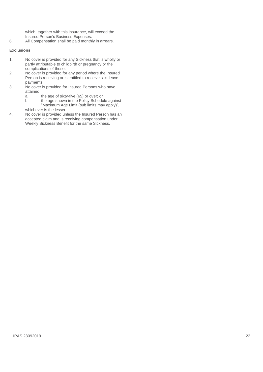which, together with this insurance, will exceed the Insured Person's Business Expenses.

6. All Compensation shall be paid monthly in arrears.

#### **Exclusions**

- 1. No cover is provided for any Sickness that is wholly or partly attributable to childbirth or pregnancy or the complications of these.
- 2. No cover is provided for any period where the Insured Person is receiving or is entitled to receive sick leave payments.
- 3. No cover is provided for Insured Persons who have attained:
	- a. the age of sixty-five (65) or over; or<br>b. the age shown in the Policy Schedu
	- the age shown in the Policy Schedule against "Maximum Age Limit (sub limits may apply)", whichever is the lesser.
- 4. No cover is provided unless the Insured Person has an
- accepted claim and is receiving compensation under Weekly Sickness Benefit for the same Sickness.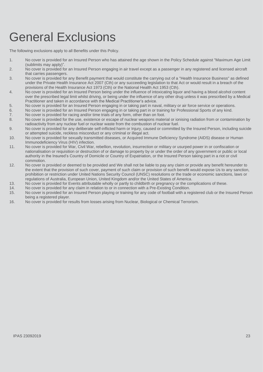# <span id="page-22-0"></span>General Exclusions

The following exclusions apply to all Benefits under this Policy.

- 1. No cover is provided for an Insured Person who has attained the age shown in the Policy Schedule against "Maximum Age Limit (sublimits may apply)".
- 2. No cover is provided for an Insured Person engaging in air travel except as a passenger in any registered and licensed aircraft that carries passengers.
- 3. No cover is provided for any Benefit payment that would constitute the carrying out of a "Health Insurance Business" as defined under the Private Health Insurance Act 2007 (Cth) or any succeeding legislation to that Act or would result in a breach of the provisions of the Health Insurance Act 1973 (Cth) or the National Health Act 1953 (Cth).
- 4. No cover is provided for an Insured Person being under the influence of intoxicating liquor and having a blood alcohol content over the prescribed legal limit whilst driving, or being under the influence of any other drug unless it was prescribed by a Medical Practitioner and taken in accordance with the Medical Practitioner's advice.
- 5. No cover is provided for an Insured Person engaging in or taking part in naval, military or air force service or operations.
- 6. No cover is provided for an Insured Person engaging in or taking part in or training for Professional Sports of any kind.
- 7. No cover is provided for racing and/or time trials of any form, other than on foot.<br>8 No cover is provided for the use existence or escape of puclear weapons mater
- No cover is provided for the use, existence or escape of nuclear weapons material or ionising radiation from or contamination by radioactivity from any nuclear fuel or nuclear waste from the combustion of nuclear fuel.
- 9. No cover is provided for any deliberate self-inflicted harm or Injury, caused or committed by the Insured Person, including suicide or attempted suicide, reckless misconduct or any criminal or illegal act.
- 10. No cover is provided for sexually transmitted diseases, or Acquired Immune Deficiency Syndrome (AIDS) disease or Human Immunodeficiency Virus (HIV) infection.
- 11. No cover is provided for War, Civil War, rebellion, revolution, insurrection or military or usurped power in or confiscation or nationalisation or requisition or destruction of or damage to property by or under the order of any government or public or local authority in the Insured's Country of Domicile or Country of Expatriation, or the Insured Person taking part in a riot or civil commotion.
- 12. No cover is provided or deemed to be provided and We shall not be liable to pay any claim or provide any benefit hereunder to the extent that the provision of such cover, payment of such claim or provision of such benefit would expose Us to any sanction, prohibition or restriction under United Nations Security Council (UNSC) resolutions or the trade or economic sanctions, laws or regulations of Australia, European Union, United Kingdom and/or the United States of America.
- 13. No cover is provided for Events attributable wholly or partly to childbirth or pregnancy or the complications of these.
- 14. No cover is provided for any claim in relation to or in connection with a Pre-Existing Condition.
- 15. No cover is provided for an Insured Person playing or training for any code of football with a registered club or the Insured Person being a registered player.
- 16. No cover is provided for results from losses arising from Nuclear, Biological or Chemical Terrorism.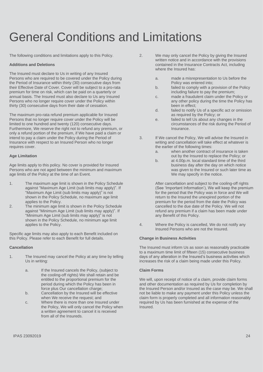# <span id="page-23-0"></span>General Conditions and Limitations

The following conditions and limitations apply to this Policy.

#### **Additions and Deletions**

The Insured must declare to Us in writing of any Insured Persons who are required to be covered under the Policy during the Period of Insurance within thirty (30) consecutive days from their Effective Date of Cover. Cover will be subject to a pro-rata premium for time on risk, which can be paid on a quarterly or annual basis. The Insured must also declare to Us any Insured Persons who no longer require cover under the Policy within thirty (30) consecutive days from their date of cessation.

The maximum pro-rata refund premium applicable for Insured Persons that no longer require cover under the Policy will be limited to one hundred and twenty (120) consecutive days. Furthermore, We reserve the right not to refund any premium, or only a refund portion of the premium, if We have paid a claim or intend to pay a claim under the Policy during the Period of Insurance with respect to an Insured Person who no longer requires cover.

#### **Age Limitation**

Age limits apply to this policy. No cover is provided for Insured Persons who are not aged between the minimum and maximum age limits of the Policy at the time of an Event.

- 1. The maximum age limit is shown in the Policy Schedule against "Maximum Age Limit (sub limits may apply)". If "Maximum Age Limit (sub limits may apply)" is not shown in the Policy Schedule, no maximum age limit applies to the Policy.
- 2. The minimum age limit is shown in the Policy Schedule against "Minimum Age Limit (sub limits may apply)". If "Minimum Age Limit (sub limits may apply)" is not shown in the Policy Schedule, no minimum age limit applies to the Policy.

Specific age limits may also apply to each Benefit included on this Policy. Please refer to each Benefit for full details.

#### **Cancellation**

- 1. The Insured may cancel the Policy at any time by telling Us in writing:
	- a. If the Insured cancels the Policy, (subject to the cooling-off rights) We shall retain and be entitled to the proportional premium for the period during which the Policy has been in force plus Our cancellation charge;
	- b. Cancellation by the Insured will be effective when We receive the request; and
	- c. Where there is more than one Insured under the Policy, We will only cancel the Policy when a written agreement to cancel it is received from all of the Insureds.
	- IPAS 23092019 24
- 2. We may only cancel the Policy by giving the Insured written notice and in accordance with the provisions contained in the Insurance Contracts Act, including where the Insured has:
	- a. made a misrepresentation to Us before the Policy was entered into;
	- b. failed to comply with a provision of the Policy including failure to pay the premium;
	- c. made a fraudulent claim under the Policy or any other policy during the time the Policy has been in effect;
	- d. failed to notify Us of a specific act or omission as required by the Policy; or
	- e. failed to tell Us about any changes in the circumstances of the risk during the Period of Insurance.
- 3. If We cancel the Policy, We will advise the Insured in writing and cancellation will take effect at whatever is the earlier of the following times:
	- a. when another contract of insurance is taken out by the Insured to replace the Policy; or
	- b. at 4.00p.m. local standard time of the third business day after the day on which notice was given to the Insured or such later time as We may specify in the notice.

After cancellation and subject to the cooling-off rights (See 'Important Information'), We will keep the premium for the period that the Policy was in force and We will return to the Insured the unexpired portion of the premium for the period from the date the Policy was cancelled to the due date of the Policy. We will not refund any premium if a claim has been made under any Benefit of this Policy.

4. Where the Policy is cancelled, We do not notify any Insured Persons who are not the Insured.

#### **Change in Business Activities**

The Insured must inform Us as soon as reasonably practicable to a maximum time limit of fifteen (15) consecutive business days of any alteration in the Insured's business activities which increases the risk of a claim being made under this Policy.

#### **Claim Forms**

We will, upon receipt of notice of a claim, provide claim forms and other documentation as required by Us for completion by the Insured Person and/or Insured as the case may be. We shall not be liable to make any payment under this Policy unless the claim form is properly completed and all information reasonably required by Us has been furnished at the expense of the Insured.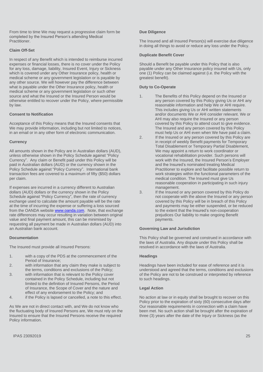From time to time We may request a progressive claim form be completed by the Insured Person's attending Medical Practitioner.

#### **Claim Off-Set**

In respect of any Benefit which is intended to reimburse incurred expenses or financial losses, there is no cover under the Policy for any loss, damage, liability, Insured Event, Injury or Sickness which is covered under any Other Insurance policy, health or medical scheme or any government legislation or is payable by any other source. We will however pay the difference between what is payable under the Other Insurance policy, health or medical scheme or any government legislation or such other source and what the Insured or the Insured Person would be otherwise entitled to recover under the Policy, where permissible by law.

#### **Consent to Notification**

Acceptance of this Policy means that the Insured consents that We may provide information, including but not limited to notices, in an email or in any other form of electronic communication.

#### **Currency**

All amounts shown in the Policy are in Australian dollars (AUD), unless otherwise shown in the Policy Schedule against "Policy Currency". Any claim or Benefit paid under this Policy will be paid in Australian dollars (AUD) or the currency shown in the Policy Schedule against "Policy Currency". International bank transaction fees are covered to a maximum of fifty (\$50) dollars per claim.

If expenses are incurred in a currency different to Australian dollars (AUD) dollars or the currency shown in the Policy Schedule against "Policy Currency", then the rate of currency exchange used to calculate the amount payable will be the rate at the time of incurring the expense or suffering a loss sourced from the OANDA website **www.oanda.com**. Note, that exchange rate differences may occur resulting in variation between original value and final payment amount, this can be minimised by requesting all payment be made in Australian dollars (AUD) into an Australian bank account.

#### **Documentation**

The Insured must provide all Insured Persons:

- 1. with a copy of the PDS at the commencement of the Period of Insurance;
- 2. with information that any claim they make is subject to the terms, conditions and exclusions of the Policy;
- 3. with information that is relevant to the Policy cover contained in the Policy Schedule, including but not limited to the definition of Insured Persons, the Period of Insurance, the Scope of Cover and the nature and effect of any endorsement to the Policy; and
- 4. if the Policy is lapsed or cancelled, a note to this effect.

As We are not in direct contact with, and We do not know who the fluctuating body of Insured Persons are, We must rely on the Insured to ensure that the Insured Persons receive the required Policy information.

#### **Due Diligence**

The Insured and all Insured Person(s) will exercise due diligence in doing all things to avoid or reduce any loss under the Policy.

#### **Duplicate Benefit Cover**

Should a Benefit be payable under this Policy that is also payable under any Other Insurance policy insured with Us, only one (1) Policy can be claimed against (i.e. the Policy with the greatest benefit).

#### **Duty to Co-Operate**

- 1. The Benefits of this Policy depend on the Insured or any person covered by this Policy giving Us or AHI any reasonable information and help We or AHI require. This includes giving Us or AHI written statements and/or documents We or AHI consider relevant. We or AHI may also require the Insured or any person covered by this Policy to attend court to give evidence. The Insured and any person covered by this Policy must help Us or AHI even when We have paid a claim.
- 2. If the Insured or any person covered by this Policy are in receipt of weekly Benefit payments for Temporary Total Disablement or Temporary Partial Disablement, We may appoint a return to work coordinator or vocational rehabilitation provider. Such persons will work with the Insured, the Insured Person's Employer and the Insured's nominated treating Medical Practitioner to explore and facilitate possible return to work strategies within the functional parameters of the medical condition. The Insured must give Us reasonable cooperation in participating in such injury management.
- 3. If the Insured or any person covered by this Policy do not cooperate with the above the Insured or any person covered by this Policy will be in breach of this Policy and payments may be either suspended, or be reduced to the extent that the Insured's non-cooperation prejudices Our liability to make ongoing Benefit payments.

#### **Governing Law and Jurisdiction**

This Policy shall be governed and construed in accordance with the laws of Australia. Any dispute under this Policy shall be resolved in accordance with the laws of Australia.

#### **Headings**

Headings have been included for ease of reference and it is understood and agreed that the terms, conditions and exclusions of the Policy are not to be construed or interpreted by reference to such headings.

#### **Legal Action**

No action at law or in equity shall be brought to recover on this Policy prior to the expiration of sixty (60) consecutive days after Our reasonable requirements in connection with a claim have been met. No such action shall be brought after the expiration of three (3) years after the date of the Injury or Sickness (as the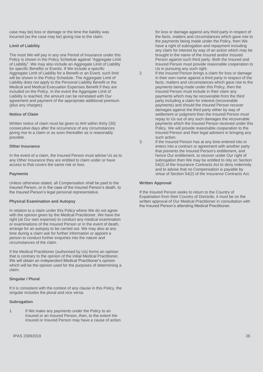case may be) loss or damage or the time the liability was incurred (as the case may be) giving rise to the claim.

#### **Limit of Liability**

The most We will pay in any one Period of Insurance under this Policy is shown in the Policy Schedule against "Aggregate Limit of Liability". We may also include an Aggregate Limit of Liability for specific Benefits or Events. If We include a specific Aggregate Limit of Liability for a Benefit or an Event, such limit will be shown in the Policy Schedule. The Aggregate Limit of Liability does not apply to the Personal Liability Benefit or the Medical and Medical Evacuation Expenses Benefit if they are included on the Policy. In the event the Aggregate Limit of Liability is reached, the amount can be reinstated with Our agreement and payment of the appropriate additional premium (plus any charges).

#### **Notice of Claim**

Written notice of claim must be given to AHI within thirty (30) consecutive days after the occurrence of any circumstances giving rise to a claim or as soon thereafter as is reasonably possible.

#### **Other Insurance**

In the event of a claim, the Insured Person must advise Us as to any Other Insurance they are entitled to claim under or have access to that covers the same risk or loss.

#### **Payments**

Unless otherwise stated, all Compensation shall be paid to the Insured Person, or in the case of the Insured Person's death, to the Insured Person's legal personal representative.

#### **Physical Examination and Autopsy**

In relation to a claim under this Policy where We do not agree with the opinion given by the Medical Practitioner, We have the right (at Our own expense) to conduct any medical examination or examinations of the Insured Person or in the event of death, arrange for an autopsy to be carried out. We may also at any time during a claim ask for further information or appoint a person to conduct further enquiries into the nature and circumstances of the claim.

If the Medical Practitioner (authorised by Us) forms an opinion that is contrary to the opinion of the initial Medical Practitioner, We will obtain an independent Medical Practitioner's opinion which will be the opinion used for the purposes of determining a claim.

#### **Singular / Plural**

If it is consistent with the context of any clause in this Policy, the singular includes the plural and vice versa.

#### **Subrogation**

1. If We make any payments under the Policy to an Insured or an Insured Person, then, to the extent the Insured or Insured Person may have a cause of action for loss or damage against any third party in respect of the facts, matters and circumstances which gave rise to the payments being made under the Policy, then We have a right of subrogation and repayment including any claim for interest by way of an action which may be brought in the name of the Insured and/or Insured Person against such third party. Both the Insured and Insured Person must provide reasonable cooperation to Us in pursuing any such right.

- 2. If the Insured Person brings a claim for loss or damage in their own name against a third party in respect of the facts, matters and circumstances which gave rise to the payments being made under this Policy, then the Insured Person must include in their claim any payments which may be recoverable from the third party including a claim for interest (recoverable payments) and should the Insured Person recover damages against the third party either by way of settlement or judgment then the Insured Person must repay to Us out of any such damages the recoverable payments which the Insured Person received under this Policy. We will provide reasonable cooperation to the Insured Person and their legal advisers in bringing any such action.
- 3. If the Insured Person has at any time entered into or enters into a contract or agreement with another party that prevents the Insured Person's entitlement, and hence Our entitlement, to recover under Our right of subrogation then We may be entitled to rely on Section 54(2) of the Insurance Contracts Act to deny indemnity and to advise that no Compensation is payable by virtue of Section 54(2) of the Insurance Contracts Act.

#### **Written Approval**

If the Insured Person seeks to return to the Country of Expatriation from their Country of Domicile, it must be on the written approval of Our Medical Practitioner in consultation with the Insured Person's attending Medical Practitioner.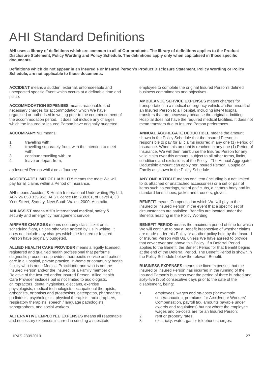# <span id="page-26-0"></span>AHI Standard Definitions

**AHI uses a library of definitions which are common to all of Our products. The library of definitions applies to the Product Disclosure Statement, Policy Wording and Policy Schedule. The definitions apply only when capitalised in those specific documents.**

**Definitions which do not appear in an Insured's or Insured Person's Product Disclosure Statement, Policy Wording or Policy Schedule, are not applicable to those documents.**

**ACCIDENT** means a sudden, external, unforeseeable and unexpected specific Event which occurs at a definable time and place.

**ACCOMMODATION EXPENSES** means reasonable and necessary charges for accommodation which We have organised or authorised in writing prior to the commencement of the accommodation period. It does not include any charges which the Insured or Insured Person have originally budgeted.

#### **ACCOMPANYING** means:

- 1. travelling with;<br>2 travelling sepa
- travelling separately from, with the intention to meet with:
- 3. continue travelling with; or
- 4. leave or depart from,

an Insured Person whilst on a Journey.

**AGGREGATE LIMIT OF LIABILITY** means the most We will pay for all claims within a Period of Insurance.

**AHI** means Accident & Health International Underwriting Pty Ltd, ABN 26 053 335 952, AFS Licence No. 238261, of Level 4, 33 York Street, Sydney, New South Wales, 2000, Australia.

**AHI ASSIST** means AHI's international medical, safety & security and emergency management service.

**AIRFARE CHARGES** means economy class ticket on a scheduled flight, unless otherwise agreed by Us in writing. It does not include any charges which the Insured or Insured Person have originally budgeted.

**ALLIED HEALTH CARE PROVIDER** means a legally licensed, registered and qualified health professional that performs diagnostic procedures, provides therapeutic service and patient care in a Hospital, private practice, in-home or community health facility who is not a Medical Practitioner and who is not the Insured Person and/or the Insured, or a Family member or Relative of the Insured and/or Insured Person. Allied Health Care Provider includes but is not limited to audiologists, chiropractors, dental hygienists, dietitians, exercise physiologists, medical technologists, occupational therapists, orthoptists, orthotists and prosthetists, osteopaths, pharmacists, podiatrists, psychologists, physical therapists, radiographers, respiratory therapists, speech / language pathologists, sonographers, and social workers.

**ALTERNATIVE EMPLOYEE EXPENSES** means all reasonable and necessary expenses incurred in sending a substitute

employee to complete the original Insured Person's defined business commitments and objectives.

**AMBULANCE SERVICE EXPENSES** means charges for transportation in a medical emergency vehicle and/or aircraft of an Insured Person to a Hospital, including inter-Hospital transfers that are necessary because the original admitting Hospital does not have the required medical facilities. It does not mean transfers due to Insured Person preferences.

**ANNUAL AGGREGATE DEDUCTIBLE** means the amount shown in the Policy Schedule that the Insured Person is responsible to pay for all claims incurred in any one (1) Period of Insurance. When this amount is reached in any one (1) Period of Insurance, We will then reimburse the Insured Person for any valid claim over this amount, subject to all other terms, limits, conditions and exclusions of the Policy. The Annual Aggregate Deductible amount can apply per Insured Person, Couple or Family as shown in the Policy Schedule.

**ANY ONE ARTICLE** means one item (including but not limited to its attached or unattached accessories) or a set or pair of items such as earrings, set of golf clubs, a camera body and its standard lens, shoes, jacket and trousers, gloves.

**BENEFIT** means Compensation which We will pay to the Insured or Insured Person in the event that a specific set of circumstances are satisfied. Benefits are located under the Benefits heading in the Policy Wording.

**BENEFIT PERIOD** means the maximum period of time for which We will continue to pay a Benefit irrespective of whether claims are made under this Policy or another policy held by the Insured or Insured Person with Us, unless We have agreed to provide that cover over and above this Policy. If a Deferral Period applies to the Benefit, the Benefit Period for that Benefit begins at the end of the Deferral Period. The Benefit Period is shown in the Policy Schedule below the relevant Benefit.

**BUSINESS EXPENSES** means the fixed expenses that the Insured or Insured Person has incurred in the running of the Insured Person's business over the period of three hundred and sixty-five (365) consecutive days prior to the date of the disablement, being:

- 1. employees' wages and on-costs (for example superannuation, premiums for Accident or Workers' Compensation, payroll tax, amounts payable under awards and regulations) but not where the employee wages and on-costs are for an Insured Person; 2. rent or property rates;
- 3. electricity, water, gas or telephone charges;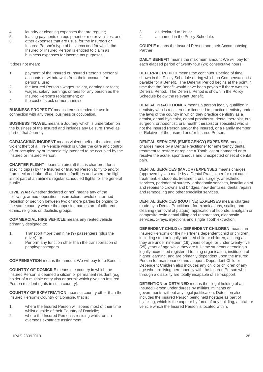- 4. laundry or cleaning expenses that are regular;<br>5. leasing payments on equipment or motor vehic
- 5. leasing payments on equipment or motor vehicles; and 6. combinent of the linear other expenses that are usual for the lineared's or
- 6. other expenses that are usual for the Insured's or Insured Person's type of business and for which the Insured or Insured Person is entitled to claim as business expenses for income tax purposes.

It does not mean:

- 1. payment of the Insured or Insured Person's personal accounts or withdrawals from their accounts for personal use;
- 2. the Insured Person's wages, salary, earnings or fees;
- 3. wages, salary, earnings or fees for any person as the Insured Person's replacement; or
- 4. the cost of stock or merchandise.

**BUSINESS PROPERTY** means items intended for use in connection with any trade, business or occupation.

**BUSINESS TRAVEL** means a Journey which is undertaken on the business of the Insured and includes any Leisure Travel as part of that Journey.

**CARJACKING INCIDENT** means violent theft or the attempted violent theft of a Hire Vehicle which is under the care and control of, or occupied by or immediately intended to be occupied by the Insured or Insured Person.

**CHARTER FLIGHT** means an aircraft that is chartered for a specific trip(s) by the Insured or Insured Person to fly to and/or from declared take-off and landing facilities and where the flight is not part of an airline's regular scheduled flights for the general public.

**CIVIL WAR** (whether declared or not) means any of the following: armed opposition, insurrection, revolution, armed rebellion or sedition between two or more parties belonging to the same country where the opposing parties are of different ethnic, religious or idealistic groups.

**COMMERCIAL HIRE VEHICLE** means any rented vehicle primarily designed to:

- 1. Transport more than nine (9) passengers (plus the driver); or,
- 2. Perform any function other than the transportation of people/passengers.

**COMPENSATION** means the amount We will pay for a Benefit.

**COUNTRY OF DOMICILE** means the country in which the Insured Person is deemed a citizen or permanent resident (e.g. holder of a multiple entry visa or permit which gives an Insured Person resident rights in such country).

**COUNTRY OF EXPATRIATION** means a country other than the Insured Person's Country of Domicile, that is:

- 1. where the Insured Person will spend most of their time whilst outside of their Country of Domicile;
- 2. where the Insured Person is residing whilst on an overseas expatriate assignment;
- 3. as declared to Us; or
- 4. as named in the Policy Schedule.

**COUPLE** means the Insured Person and their Accompanying Partner.

**DAILY BENEFIT** means the maximum amount We will pay for each elapsed period of twenty four (24) consecutive hours.

**DEFERRAL PERIOD** means the continuous period of time shown in the Policy Schedule during which no Compensation is payable for a Benefit. The Deferral Period begins at the point in time that the Benefit would have been payable if there was no Deferral Period. The Deferral Period is shown in the Policy Schedule below the relevant Benefit.

**DENTAL PRACTITIONER** means a person legally qualified in dentistry who is registered or licensed to practice dentistry under the laws of the country in which they practice dentistry as a dentist, dental hygienist, dental prosthetist, dental therapist, oral surgeon, orthodontist, oral health therapist or specialist who is not the Insured Person and/or the Insured, or a Family member or Relative of the Insured and/or Insured Person.

**DENTAL SERVICES (EMERGENCY) EXPENSES** means charges made by a Dental Practitioner for emergency dental treatment to restore or replace a Tooth lost or damaged or to resolve the acute, spontaneous and unexpected onset of dental pain.

**DENTAL SERVICES (MAJOR) EXPENSES** means charges (approved by Us) made by a Dental Practitioner for root canal treatment, endodontic treatment, oral surgery, anesthetic services, periodontal surgery, orthodontic services, installation of and repairs to crowns and bridges, new dentures, dental repairs and remodeling and other specialist services.

**DENTAL SERVICES (ROUTINE) EXPENSES** means charges made by a Dental Practitioner for examinations, scaling and cleaning (removal of plaque), application of fluoride, amalgam or composite resin dental filling and restorations, diagnostic services, x-rays, injections and single Tooth extraction.

**DEPENDENT CHILD or DEPENDENT CHILDREN** means an Insured Person's or their Partner's dependent child or children, including step or legally adopted child or children, as long as they are under nineteen (19) years of age, or under twenty-five (25) years of age while they are full-time students attending a legally accredited registered training organisation, institution of higher learning, and are primarily dependent upon the Insured Person for maintenance and support. Dependent Child or Dependent Children also includes any child or children of any age who are living permanently with the Insured Person who through a disability are totally incapable of self-support.

**DETENTION or DETAINED** means the illegal holding of an Insured Person under duress by militias, militants or governments without any legal justification. Detention also includes the Insured Person being held hostage as part of hijacking, which is the capture by force of any building, aircraft or vehicle which the Insured Person is located within.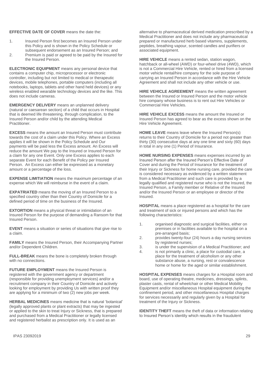#### **EFFECTIVE DATE OF COVER** means the date the:

- 1. Insured Person first becomes an Insured Person under this Policy and is shown in the Policy Schedule or subsequent endorsement as an Insured Person; and
- 2. Premium is paid or agreed to be paid by the Insured for the Insured Person.

**ELECTRONIC EQUIPMENT** means any personal device that contains a computer chip, microprocessor or electronic controller, including but not limited to medical or therapeutic devices, mobile telephones, portable computers (including all notebooks, laptops, tablets and other hand held devices) or any wireless enabled wearable technology devices and the like. This does not include cameras.

**EMERGENCY DELIVERY** means an unplanned delivery (natural or caesarean section) of a child that occurs in Hospital that is deemed life threatening, through complication, to the Insured Person and/or child by the attending Medical **Practitioner** 

**EXCESS** means the amount an Insured Person must contribute towards the cost of a claim under this Policy. Where an Excess applies it will be shown in the Policy Schedule and Our payments will be paid less the Excess amount. An Excess will reduce the amount We pay to the Insured or Insured Person for a claim for any one Event. Only one Excess applies to each separate Event for each Benefit of the Policy per Insured Person. An Excess can either be expressed as a monetary amount or a percentage of the loss.

**EXPENSE LIMITIATION** means the maximum percentage of an expense which We will reimburse in the event of a claim.

**EXPATRIATED** means the moving of an Insured Person to a specified country other than their Country of Domicile for a defined period of time on the business of the Insured.

**EXTORTION** means a physical threat or intimidation of an Insured Person for the purpose of demanding a Ransom for that Insured Person.

**EVENT** means a situation or series of situations that give rise to a claim.

**FAMILY** means the Insured Person, their Accompanying Partner and/or Dependent Children.

**FULL-BREAK** means the bone is completely broken through with no connections.

**FUTURE EMPLOYMENT** means the Insured Person is registered with the government agency or department (responsible for providing unemployment services) and/or a recruitment company in their Country of Domicile and actively looking for employment by providing Us with written proof they are applying for a minimum of two (2) new jobs per week.

**HERBAL MEDICINES** means medicine that is natural 'botanical' (legally approved plants or plant extracts) that may be ingested or applied to the skin to treat Injury or Sickness, that is prepared and purchased from a Medical Practitioner or legally licensed and registered herbalist as prescription only. It is used as an

alternative to pharmaceutical derived medication prescribed by a Medical Practitioner and does not include any pharmaceutical prepared or manufactured herb based vitamins, supplements, peptides, breathing vapour, scented candles and purifiers or associated equipment.

**HIRE VEHICLE** means a rented sedan, station wagon, hatchback or all-wheel (AWD) or four-wheel drive (4WD), which is not a Commercial Hire Vehicle, rented or hired from a licensed motor vehicle rental/hire company for the sole purpose of carrying an Insured Person in accordance with the Hire Vehicle Agreement and shall not include any other vehicle or use.

**HIRE VEHICLE AGREEMENT** means the written agreement between the Insured or Insured Person and the motor vehicle hire company whose business is to rent out Hire Vehicles or Commercial Hire Vehicles.

**HIRE VEHICLE EXCESS** means the amount the Insured or Insured Person has agreed to bear as the excess shown on the Hire Vehicle Agreement.

**HOME LEAVE** means leave where the Insured Person(s) returns to their Country of Domicile for a period not greater than thirty (30) consecutive days at any one time and sixty (60) days in total in any one (1) Period of Insurance.

**HOME NURSING EXPENSES** means expenses incurred by an Insured Person after the Insured Person's Effective Date of Cover and during the Period of Insurance for the treatment of their Injury or Sickness for home nursing care, provided the care is considered necessary as evidenced by a written statement from a Medical Practitioner and such care is provided by a legally qualified and registered nurse who is not the Insured, the Insured Person, a Family member or Relative of the Insured and/or the Insured Person or an employee or director of the Insured.

**HOSPITAL** means a place registered as a hospital for the care and treatment of sick or injured persons and which has the following characteristics:

- 1. organised diagnostic and surgical facilities, either on premises or in facilities available to the hospital on a pre-arranged basis;
- 2. provides twenty-four (24) hours a day nursing services by registered nurses;
- 3. is under the supervision of a Medical Practitioner; and
- 4. is not primarily a clinic, a place for custodial care, a place for the treatment of alcoholism or any other substance abuse, a nursing, rest or convalescence home or home for the aged or similar establishment.

**HOSPITAL EXPENSES** means charges for a Hospital room and board, use of operating theatre, medicines, dressings, splints, plaster casts, rental of wheelchair or other Medical Mobility Equipment and/or miscellaneous Hospital equipment during the confinement period, and other miscellaneous Hospital charges for services necessarily and regularly given by a Hospital for treatment of the Injury or Sickness.

**IDENTITY THEFT** means the theft of data or information relating to Insured Person's identity which results in the fraudulent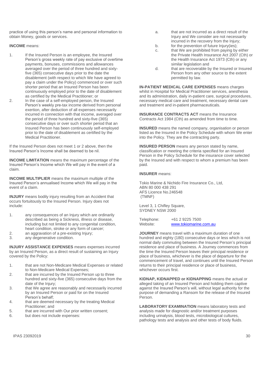practice of using this person's name and personal information to obtain Money, goods or services.

#### **INCOME** means:

- 1. If the Insured Person is an employee, the Insured Person's gross weekly rate of pay exclusive of overtime payments, bonuses, commissions and allowances averaged over the period of three hundred and sixtyfive (365) consecutive days prior to the date the disablement (with respect to which We have agreed to pay a claim under the Policy) commenced or over such shorter period that an Insured Person has been continuously employed prior to the date of disablement as certified by the Medical Practitioner; or
- 2. In the case of a self-employed person, the Insured Person's weekly pre-tax income derived from personal exertion, after deduction of all expenses necessarily incurred in connection with that income, averaged over the period of three hundred and sixty-five (365) consecutive days or over such shorter period that an Insured Person has been continuously self-employed prior to the date of disablement as certified by the Medical Practitioner.

If the Insured Person does not meet 1 or 2 above, then the Insured Person's Income shall be deemed to be nil.

**INCOME LIMITATION** means the maximum percentage of the Insured Person's Income which We will pay in the event of a claim.

**INCOME MULTIPLIER** means the maximum multiple of the Insured Person's annualised Income which We will pay in the event of a claim.

**INJURY** means bodily injury resulting from an Accident that occurs fortuitously to the Insured Person. Injury does not include:

- 1. any consequences of an Injury which are ordinarily described as being a Sickness, illness or disease, including but not limited to any congenital condition, heart condition, stroke or any form of cancer;
- 2. an aggravation of a pre-existing Injury;
- 3. any degenerative condition.

**INJURY ASSISTANCE EXPENSES** means expenses incurred by an Insured Person, as a direct result of sustaining an Injury covered by the Policy:

- 1. that are not Non-Medicare Medical Expenses or related to Non-Medicare Medical Expenses;
- 2. that are incurred by the Insured Person up to three hundred and sixty-five (365) consecutive days from the date of the Injury;
- 3. that We agree are reasonably and necessarily incurred by an Insured Person or paid for on the Insured Person's behalf;
- 4. that are deemed necessary by the treating Medical Practitioner; and
- 5. that are incurred with Our prior written consent;
- 6. but does not include expenses:
- a. that are not incurred as a direct result of the Injury and We consider are not necessarily incurred in the recovery from the Injury;
- b. for the prevention of future Injury(ies);
- c. that We are prohibited from paying by either the Private Health Insurance Act 2007 (Cth) or the Health Insurance Act 1973 (Cth) or any similar legislation and
- d. that are recoverable by the Insured or Insured Person from any other source to the extent permitted by law.

**IN-PATIENT MEDICAL CARE EXPENSES** means charges whilst in Hospital for Medical Practitioner services, anesthesia and its administration, daily in-patient care, surgical procedures, necessary medical care and treatment, necessary dental care and treatment and in-patient pharmaceuticals.

**INSURANCE CONTRACTS ACT** means the Insurance Contracts Act 1984 (Cth) as amended from time to time.

**INSURED** means the named company, organisation or person listed as the Insured in the Policy Schedule with whom We enter into the Policy. They are the contracting party.

**INSURED PERSON** means any person stated by name, classification or meeting the criteria specified for an Insured Person in the Policy Schedule for the insurance cover selected by the Insured and with respect to whom a premium has been paid.

#### **INSURER** means:

Tokio Marine & Nichido Fire Insurance Co., Ltd, ABN 80 000 438 291 AFS Licence No.246548 (TMNF)

Level 3, 1 Chifley Square, SYDNEY NSW 2000

Telephone: +61 2 9225 7500 Website: [www.tokiomarine.com.au](http://www.tokiomarine.com.au/)

**JOURNEY** means travel with a maximum duration of one hundred and eighty (180) consecutive days or less which is not normal daily commuting between the Insured Person's principal residence and place of business. A Journey commences from the time the Insured Person leaves their principal residence or place of business, whichever is the place of departure for the commencement of travel, and continues until the Insured Person returns to their principal residence or place of business, whichever occurs first.

**KIDNAP, KIDNAPPED or KIDNAPPING** means the actual or alleged taking of an Insured Person and holding them captive against the Insured Person's will, without legal authority for the purpose of demanding a Ransom for the release of the Insured Person.

**LABORATORY EXAMINATION** means laboratory tests and analysis made for diagnostic and/or treatment purposes including urinalysis, blood tests, microbiological cultures, pathology tests and analysis and other tests of body fluids.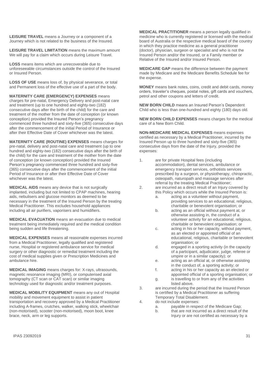**LEISURE TRAVEL** means a Journey or a component of a Journey which is not related to the business of the Insured.

**LEISURE TRAVEL LIMITATION** means the maximum amount We will pay for a claim which occurs during Leisure Travel.

**LOSS** means items which are unrecoverable due to unforeseeable circumstances outside the control of the Insured or Insured Person.

**LOSS OF USE** means loss of, by physical severance, or total and Permanent loss of the effective use of a part of the body.

**MATERNITY CARE (EMERGENCY) EXPENSES** means charges for pre-natal, Emergency Delivery and post-natal care and treatment (up to one hundred and eighty-two (182) consecutive days after the birth of the child) for the care and treatment of the mother from the date of conception (or known conception) provided the Insured Person's pregnancy commenced three hundred and sixty-five (365) consecutive days after the commencement of the initial Period of Insurance or after their Effective Date of Cover whichever was the latest.

**MATERNITY CARE (ROUTINE) EXPENSES** means charges for pre-natal, delivery and post-natal care and treatment (up to one hundred and eighty-two (182) consecutive days after the birth of the child) for the care and treatment of the mother from the date of conception (or known conception) provided the Insured Person's pregnancy commenced three hundred and sixty-five (365) consecutive days after the commencement of the initial Period of Insurance or after their Effective Date of Cover whichever was the latest.

**MEDICAL AIDS** means any device that is not surgically implanted, including but not limited to CPAP machines, hearing aids, nebulisers and glucose monitors as deemed to be necessary in the treatment of the Insured Person by the treating Medical Practitioner. This excludes household appliances including all air purifiers, vaporisers and humidifiers.

**MEDICAL EVACUATION** means an evacuation due to medical treatment being immediately required and the medical condition being sudden and life threatening.

**MEDICAL EXPENSES** means all reasonable expenses incurred from a Medical Practitioner, legally qualified and registered nurse, Hospital or registered ambulance service for medical surgery or other diagnostic or remedial treatment including the cost of medical supplies given or Prescription Medicines and ambulance hire.

**MEDICAL IMAGING** means charges for: X-rays, ultrasounds, magnetic resonance imaging (MRI), or computerised axial tomography (CT scan or CAT scan) or similar imaging technology used for diagnostic and/or treatment purposes.

**MEDICAL MOBILITY EQUIPMENT** means any out of Hospital mobility and movement equipment to assist in patient transportation and recovery approved by a Medical Practitioner including A-frames, crutches, walker, walking stick, wheelchair (non-motorised), scooter (non-motorised), moon boot, knee brace, neck, arm or leg supports.

**MEDICAL PRACTITIONER** means a person legally qualified in medicine who is currently registered or licensed with the medical board of Australia or the respective medical board of the country in which they practice medicine as a general practitioner (doctor), physician, surgeon or specialist and who is not the Insured Person and/or the Insured, or a Family member or Relative of the Insured and/or Insured Person.

**MEDICARE GAP** means the difference between the payment made by Medicare and the Medicare Benefits Schedule fee for the expense.

**MONEY** means bank notes, coins, credit and debit cards, money orders, traveler's cheques, postal notes, gift cards and vouchers, petrol and other coupons and letters of credit.

**NEW BORN CHILD** means an Insured Person's Dependent Child who is less than one-hundred and eighty (180) days old.

**NEW BORN CHILD EXPENSES** means charges for the medical care of a New Born Child.

**NON-MEDICARE MEDICAL EXPENSES** means expenses certified as necessary by a Medical Practitioner, incurred by the Insured Person up to three hundred and sixty-five (365) consecutive days from the date of the Injury, provided the expenses:

- 1. are for private Hospital fees (including accommodation), dental services, ambulance or emergency transport services, orthotists services prescribed by a surgeon, or physiotherapy, chiropractic, osteopath, naturopath and massage services after referral by the treating Medical Practitioner;
- 2. are incurred as a direct result of an Injury covered by this Policy which occurs while the Insured Person is:
	- a. acting as a volunteer without payment, providing services to an educational, religious, charitable or benevolent organisation; or
	- b. acting as an official without payment at, or otherwise assisting in, the conduct of a volunteer activity for an educational, religious, charitable or benevolent organisation; or
	- c. acting in his or her capacity, without payment, as an elected or appointed official of an educational, religious, charitable or benevolent organisation; or
	- d. engaged in a sporting activity (in the capacity of a participant, adjudicator, judge, referee or umpire or in a similar capacity); or
	- e. acting as an official at, or otherwise assisting in the conduct of, a sporting activity; or
	- f. acting in his or her capacity as an elected or appointed official of a sporting organisation; or
	- g. is travelling to or from any of the activities listed above.
- 3. are incurred during the period that the Insured Person is certified by a Medical Practitioner as suffering Temporary Total Disablement.
- 4. do not include expenses:
	- a. payable in respect of the Medicare Gap;
	- b. that are not incurred as a direct result of the Injury or are not certified as necessary by a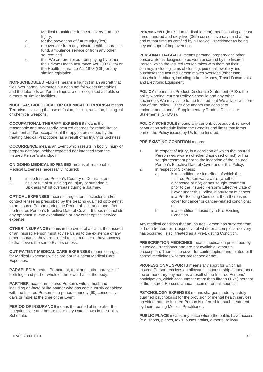Medical Practitioner in the recovery from the Injury;

- c. for the prevention of future Injury(ies);
- d. recoverable from any private health insurance fund, ambulance service or from any other source; and
- e. that We are prohibited from paying by either the Private Health Insurance Act 2007 (Cth) or the Health Insurance Act 1973 (Cth) or any similar legislation.

**NON-SCHEDULED FLIGHT** means a flight(s) in an aircraft that flies over normal air-routes but does not follow set timetables and the take-offs and/or landings are on recognised airfields or airports or similar facilities.

**NUCLEAR, BIOLOGICAL OR CHEMICAL TERRORISM** means Terrorism involving the use of fusion, fission, radiation, biological or chemical weapons.

**OCCUPATIONAL THERAPY EXPENSES** means the reasonable and necessarily incurred charges for rehabilitation treatment and/or occupational therapy as prescribed by the treating Medical Practitioner as a result of an Injury or Sickness.

**OCCURRENCE** means an Event which results in bodily Injury or property damage, neither expected nor intended from the Insured Person's standpoint.

**ON-GOING MEDICAL EXPENSES** means all reasonable Medical Expenses necessarily incurred:

- 1. in the Insured Person's Country of Domicile; and
- 2. as a result of sustaining an Injury or suffering a
	- Sickness whilst overseas during a Journey.

**OPTICAL EXPENSES** means charges for spectacles and/or contact lenses as prescribed by the treating qualified optometrist to an Insured Person during the Period of Insurance and after the Insured Person's Effective Date of Cover. It does not include any optometrist, eye examination or any other optical service expense.

**OTHER INSURANCE** means in the event of a claim, the Insured or an Insured Person must advise Us as to the existence of any other insurance they are entitled to claim under or have access to that covers the same Events or loss.

**OUT-PATIENT MEDICAL CARE EXPENSES** means charges for Medical Expenses which are not In-Patient Medical Care Expenses.

**PARAPLEGIA** means Permanent, total and entire paralysis of both legs and part or whole of the lower half of the body.

**PARTNER** means an Insured Person's wife or husband including de-facto or life partner who has continuously cohabited with the Insured Person for a period of ninety (90) consecutive days or more at the time of the Event.

**PERIOD OF INSURANCE** means the period of time after the Inception Date and before the Expiry Date shown in the Policy Schedule.

**PERMANENT** (in relation to disablement) means lasting at least three hundred and sixty-five (365) consecutive days and at the end of that time as certified by a Medical Practitioner as being beyond hope of improvement.

**PERSONAL BAGGAGE** means personal property and other personal items designed to be worn or carried by the Insured Person which the Insured Person takes with them on their Journey, including items of clothing, personal jewellery and purchases the Insured Person makes overseas (other than household furniture), including tickets, Money, Travel Documents and Electronic Equipment.

**POLICY** means this Product Disclosure Statement (PDS), the policy wording, current Policy Schedule and any other documents We may issue to the Insured that We advise will form part of the Policy. Other documents can consist of endorsements and/or Supplementary Product Disclosure Statements (SPDS's).

**POLICY SCHEDULE** means any current, subsequent, renewal or variation schedule listing the Benefits and limits that forms part of the Policy issued by Us to the Insured.

#### **PRE-EXISTING CONDITION** means:

- 1. in respect of Injury, is a condition of which the Insured Person was aware (whether diagnosed or not) or has sought treatment prior to the inception of the Insured Person's Effective Date of Cover under this Policy.
- 2. in respect of Sickness:
	- a. is a condition or side-effect of which the Insured Person was aware (whether diagnosed or not) or has sought treatment prior to the Insured Person's Effective Date of Cover under this Policy. If any form of cancer is a Pre-Existing Condition, then there is no cover for cancer or cancer-related conditions; or
		- b. is a condition caused by a Pre-Existing Condition.

Any medical condition that an Insured Person has suffered from or been treated for, irrespective of whether a complete recovery has occurred, is still treated as a Pre-Existing Condition.

**PRESCRIPTION MEDICINES** means medication prescribed by a Medical Practitioner and are not available without a prescription. There is no cover for contraception and related birth control medicines whether prescribed or not.

**PROFESSIONAL SPORTS** means any sport for which an Insured Person receives an allowance, sponsorship, appearance fee or monetary payment as a result of the Insured Persons' participation, which accounts for more than fifteen (15%) percent of the Insured Persons' annual Income from all sources.

**PSYCHOLOGY EXPENSES** means charges made by a duly qualified psychologist for the provision of mental health services provided that the Insured Person is referred for such treatment by their treating Medical Practitioner.

**PUBLIC PLACE** means any place where the public have access (e.g. shops, planes, taxis, buses, trains, airports, railway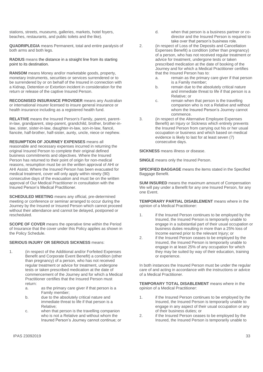stations, streets, museums, galleries, markets, hotel foyers, beaches, restaurants, and public toilets and the like).

**QUADRIPLEGIA** means Permanent, total and entire paralysis of both arms and both legs.

**RADIUS** means the distance in a straight line from its starting point to its destination.

**RANSOM** means Money and/or marketable goods, property, monetary instruments, securities or services surrendered or to be surrendered by or on behalf of the Insured in connection with a Kidnap, Detention or Extortion incident in consideration for the return or release of the captive Insured Person.

**RECOGNISED INSURANCE PROVIDER** means any Australian or international insurer licensed to insure general insurance or health insurance including as a registered health fund.

**RELATIVE** means the Insured Person's Family, parent, parentin-law, grandparent, step-parent, grandchild, brother, brother-inlaw, sister, sister-in-law, daughter-in-law, son-in-law, fiancé, fiancée, half-brother, half-sister, aunty, uncle, niece or nephew.

**RESUMPTION OF JOURNEY EXPENSES** means all reasonable and necessary expenses incurred in returning the original Insured Person to complete their original defined business commitments and objectives. Where the Insured Person has returned to their point of origin for non-medical reasons, resumption must be on the written approval of AHI or AHI Assist. Where the Insured Person has been evacuated for medical treatment, cover will only apply within ninety (90) consecutive days of the evacuation and must be on the written approval of Our Medical Practitioner in consultation with the Insured Person's Medical Practitioner.

**SCHEDULED MEETING** means any official, pre-determined meeting or conference or seminar arranged to occur during the Journey by the Insured or Insured Person which cannot proceed without their attendance and cannot be delayed, postponed or rescheduled.

**SCOPE OF COVER** means the operative time within the Period of Insurance that the cover under this Policy applies as shown in the Policy Schedule.

#### **SERIOUS INJURY OR SERIOUS SICKNESS** means:

- 1. (in respect of the Additional and/or Forfeited Expenses Benefit and Corporate Event Benefit) a condition (other than pregnancy) of a person, who has not received regular treatment or advice for treatment, undergone tests or taken prescribed medication at the date of commencement of the Journey and for which a Medical Practitioner certifies that the Insured Person must return:
	- a. as the primary care giver if that person is a Family member;
	- b. due to the absolutely critical nature and immediate threat to life if that person is a Relative;
	- c. when that person is the travelling companion who is not a Relative and without whom the Insured Person's Journey cannot continue; or
- d. when that person is a business partner or codirector and the Insured Person is required to take over that person's business role.
- 2. (in respect of Loss of the Deposits and Cancellation Expenses Benefit) a condition (other than pregnancy) of a person, who has not received regular treatment or advice for treatment, undergone tests or taken prescribed medication at the date of booking of the Journey and for which a Medical Practitioner certifies that the Insured Person has to:
	- a. remain as the primary care giver if that person is a Family member;
	- b. remain due to the absolutely critical nature and immediate threat to life if that person is a Relative; or
	- c. remain when that person is the travelling companion who is not a Relative and without whom the Insured Person's Journey cannot commence.
- 3. (in respect of the Alternative Employee Expenses Benefit) an Injury or Sickness which entirely prevents the Insured Person from carrying out his or her usual occupation or business and which based on medical evidence is likely to last for at least seven (7) consecutive days.

**SICKNESS** means illness or disease.

**SINGLE** means only the Insured Person.

**SPECIFIED BAGGAGE** means the items stated in the Specified Baggage Benefit.

**SUM INSURED** means the maximum amount of Compensation We will pay under a Benefit for any one Insured Person, for any one Event.

**TEMPORARY PARTIAL DISABLEMENT** means where in the opinion of a Medical Practitioner:

- 1. if the Insured Person continues to be employed by the Insured, the Insured Person is temporarily unable to engage in a substantial part of their usual occupation or business duties resulting in more than a 25% loss of Income earned prior to the relevant Injury; or
- 2. if the Insured Person ceases to be employed by the Insured, the Insured Person is temporarily unable to engage in at least 25% of any occupation for which they may be suited by way of their education, training or experience.

In both instances the Insured Person must be under the regular care of and acting in accordance with the instructions or advice of a Medical Practitioner.

**TEMPORARY TOTAL DISABLEMENT** means where in the opinion of a Medical Practitioner:

- 1. if the Insured Person continues to be employed by the Insured, the Insured Person is temporarily unable to engage in any aspect of their usual occupation or any of their business duties; or
- 2. if the Insured Person ceases to be employed by the Insured, the Insured Person is temporarily unable to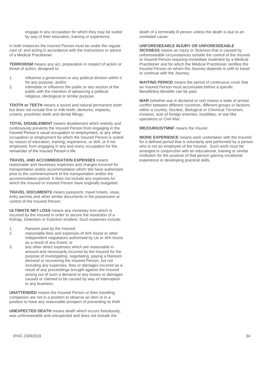engage in any occupation for which they may be suited by way of their education, training or experience.

In both instances the Insured Person must be under the regular care of, and acting in accordance with the instructions or advice of a Medical Practitioner.

**TERRORISM** means any act, preparation in respect of action or threat of action, designed to:

- 1. influence a government or any political division within it for any purpose; and/or
- 2. intimidate or influence the public or any section of the public with the intention of advancing a political, religious, ideological or similar purpose.

**TOOTH or TEETH** means a sound and natural permanent tooth but does not include first or milk teeth, dentures, implants, crowns, prosthetic teeth and dental fillings.

**TOTAL DISABLEMENT** means disablement which entirely and continuously prevents the Insured Person from engaging in the Insured Person's usual occupation or employment, or any other occupation or employment for which the Insured Person is suited by reason of education, training, experience, or skill, or if not employed, from engaging in any and every occupation for the remainder of the Insured Person's life.

**TRAVEL AND ACCOMMODATION EXPENSES** means reasonable and necessary expenses and charges incurred for transportation and/or accommodation which We have authorised prior to the commencement of the transportation and/or the accommodation period. It does not include any expenses for which the Insured or Insured Person have originally budgeted.

**TRAVEL DOCUMENTS** means passports, travel tickets, visas, entry permits and other similar documents in the possession or control of the Insured Person.

**ULTIMATE NET LOSS** means any monetary loss which is incurred by the Insured in order to secure the resolution of a Kidnap, Detention or Extortion incident. Such expenses include:

- 1. Ransom paid by the Insured;
- 2. reasonable fees and expenses of AHI Assist or other independent negotiators authorised by Us or AHI Assist as a result of any Event; or
- 3. any other direct expenses which are reasonable in amount and necessarily incurred by the Insured for the purpose of investigating, negotiating, paying a Ransom demand or recovering the Insured Person, but not including any expenses, fees or damages incurred as a result of any proceedings brought against the Insured arising out of such a demand or any losses or damages caused or claimed to be caused by way of interruption to any business.

**UNATTENDED** means the Insured Person or their travelling companion are not in a position to observe an item or in a position to have any reasonable prospect of preventing its theft.

**UNEXPECTED DEATH** means death which occurs fortuitously, was unforeseeable and unexpected and does not include the

death of a terminally ill person unless the death is due to an unrelated cause.

#### **UNFORESEEABLE INJURY OR UNFORESEEABLE**

**SICKNESS** means an Injury or Sickness that is caused by unforeseeable circumstances outside the control of the Insured or Insured Person requiring immediate treatment by a Medical Practitioner and for which the Medical Practitioner certifies the Insured Person on whom the Journey depends is unfit to travel or continue with the Journey.

**WAITING PERIOD** means the period of continuous cover that an Insured Person must accumulate before a specific Benefit/any Benefits can be paid.

**WAR** (whether war is declared or not) means a state of armed conflict between different countries, different groups or factions within a country, Nuclear, Biological or Chemical Terrorism, invasion, acts of foreign enemies, hostilities, or war-like operations or Civil War.

**WE/OUR/US/TMNF** means the Insurer.

**WORK EXPERIENCE** means work undertaken with the Insured for a defined period that is voluntarily and performed by a person who is not an employee of the Insured. Such work must be arranged in conjunction with an educational, training or similar institution for the purpose of that person gaining vocational experience or developing practical skills.